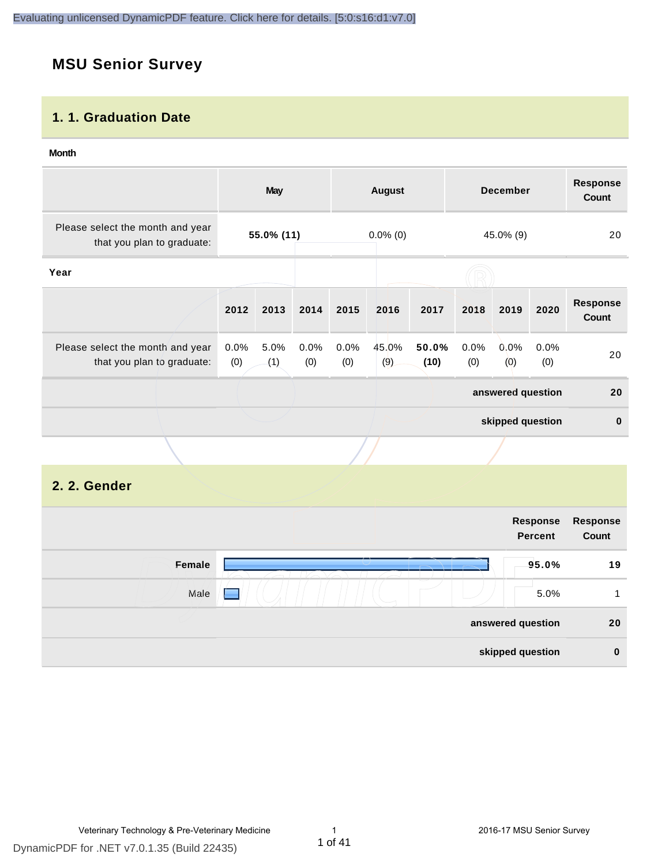## **MSU Senior Survey**

### **1. 1. Graduation Date**

#### **Month**

|                                                                |                | <b>May</b>  |                |                | <b>August</b> |               |             | <b>December</b>   |             | <b>Response</b><br><b>Count</b> |
|----------------------------------------------------------------|----------------|-------------|----------------|----------------|---------------|---------------|-------------|-------------------|-------------|---------------------------------|
| Please select the month and year<br>that you plan to graduate: |                | 55.0% (11)  |                |                | $0.0\%$ (0)   |               |             | 45.0% (9)         |             | 20                              |
| Year                                                           |                |             |                |                |               |               |             |                   |             |                                 |
|                                                                | 2012           | 2013        | 2014           | 2015           | 2016          | 2017          | 2018        | 2019              | 2020        | <b>Response</b><br><b>Count</b> |
| Please select the month and year<br>that you plan to graduate: | $0.0\%$<br>(0) | 5.0%<br>(1) | $0.0\%$<br>(0) | $0.0\%$<br>(0) | 45.0%<br>(9)  | 50.0%<br>(10) | 0.0%<br>(0) | $0.0\%$<br>(0)    | 0.0%<br>(0) | 20                              |
|                                                                |                |             |                |                |               |               |             | answered question |             | 20                              |
|                                                                |                |             |                |                |               |               |             | skipped question  |             | $\bf{0}$                        |
|                                                                |                |             |                |                |               |               |             |                   |             |                                 |

## **2. 2. Gender**

| Response<br>Count | Response<br><b>Percent</b> |     |        |
|-------------------|----------------------------|-----|--------|
| 19                | 95.0%                      |     | Female |
| 1                 | 5.0%                       | e e | Male   |
| 20                | answered question          |     |        |
| $\bf{0}$          | skipped question           |     |        |
|                   |                            |     |        |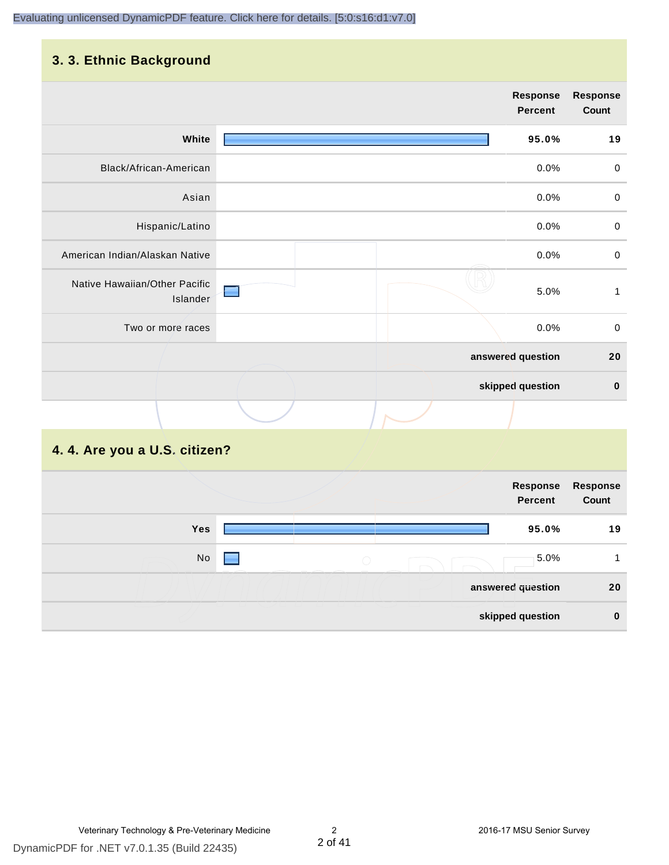## **3. 3. Ethnic Background**

|                                           |                   | <b>Response</b><br><b>Percent</b> | <b>Response</b><br>Count |
|-------------------------------------------|-------------------|-----------------------------------|--------------------------|
| White                                     |                   | 95.0%                             | 19                       |
| Black/African-American                    |                   | 0.0%                              | $\pmb{0}$                |
| Asian                                     |                   | 0.0%                              | $\mathbf 0$              |
| Hispanic/Latino                           |                   | 0.0%                              | $\boldsymbol{0}$         |
| American Indian/Alaskan Native            |                   | 0.0%                              | $\pmb{0}$                |
| Native Hawaiian/Other Pacific<br>Islander |                   | 5.0%                              | 1                        |
| Two or more races                         |                   | 0.0%                              | $\pmb{0}$                |
|                                           | answered question |                                   | 20                       |
|                                           | skipped question  |                                   | $\bf{0}$                 |
|                                           |                   |                                   |                          |
| 4. 4. Are you a U.S. citizen?             |                   |                                   |                          |

|            |        | Response<br>Percent | Response<br>Count |
|------------|--------|---------------------|-------------------|
| <b>Yes</b> |        | 95.0%               | 19                |
| No         | $\cup$ | 5.0%                |                   |
|            |        | answered question   | 20                |
|            |        | skipped question    | $\bf{0}$          |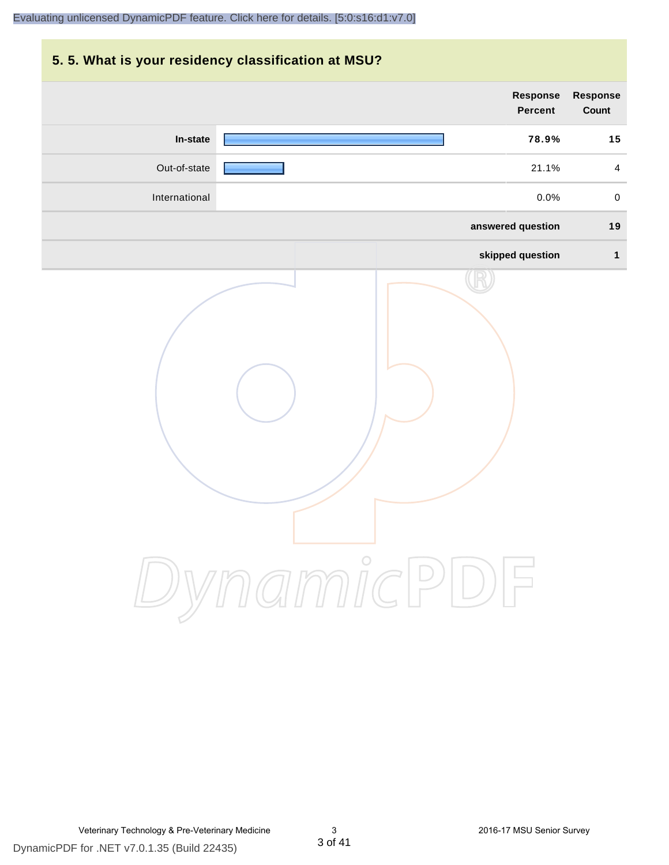## **5. 5. What is your residency classification at MSU?**

|               | <b>Response</b><br><b>Percent</b> | Response<br>Count       |
|---------------|-----------------------------------|-------------------------|
| In-state      | 78.9%                             | 15                      |
| Out-of-state  | 21.1%                             | $\overline{\mathbf{4}}$ |
| International | 0.0%                              | $\mathsf{O}\xspace$     |
|               | answered question                 | 19                      |
|               | skipped question                  | $\mathbf{1}$            |
|               | ynamicPD                          |                         |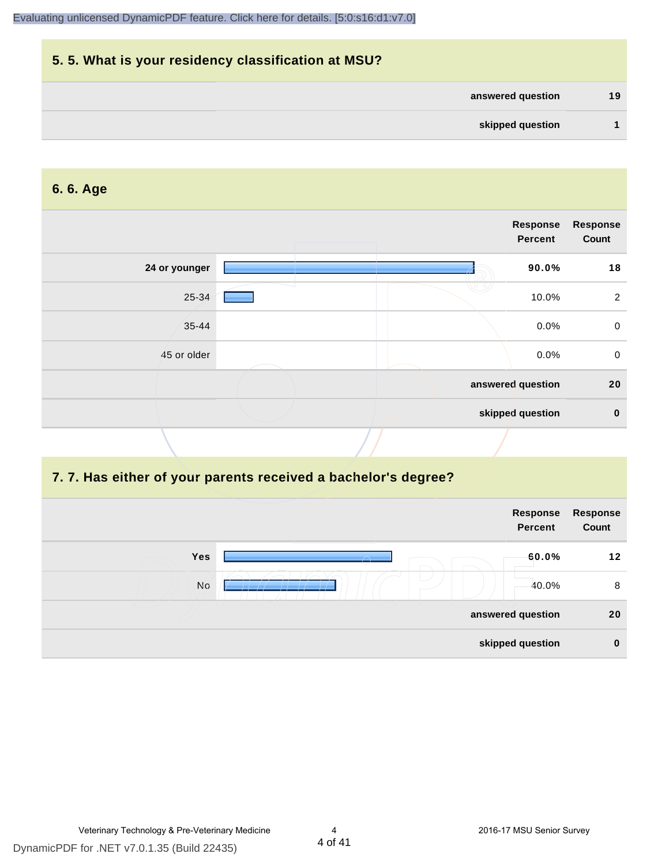## **5. 5. What is your residency classification at MSU? answered question 19 skipped question 1**

#### **6. 6. Age**

| <b>Response</b><br>Count | <b>Response</b><br><b>Percent</b> |               |
|--------------------------|-----------------------------------|---------------|
| 18                       | 90.0%                             | 24 or younger |
|                          | 10.0%                             | 25-34         |
|                          | 0.0%                              | $35 - 44$     |
|                          | 0.0%                              | 45 or older   |
| 20                       | answered question                 |               |
|                          | skipped question                  |               |
|                          |                                   |               |

#### **7. 7. Has either of your parents received a bachelor's degree?**

|                                              | Response<br><b>Percent</b> | Response<br>Count |
|----------------------------------------------|----------------------------|-------------------|
| <b>Yes</b><br>$\curvearrowright$<br>$\smile$ | 60.0%                      | 12                |
| No                                           | 40.0%                      | 8                 |
| answered question                            |                            | 20                |
| skipped question                             |                            | $\mathbf 0$       |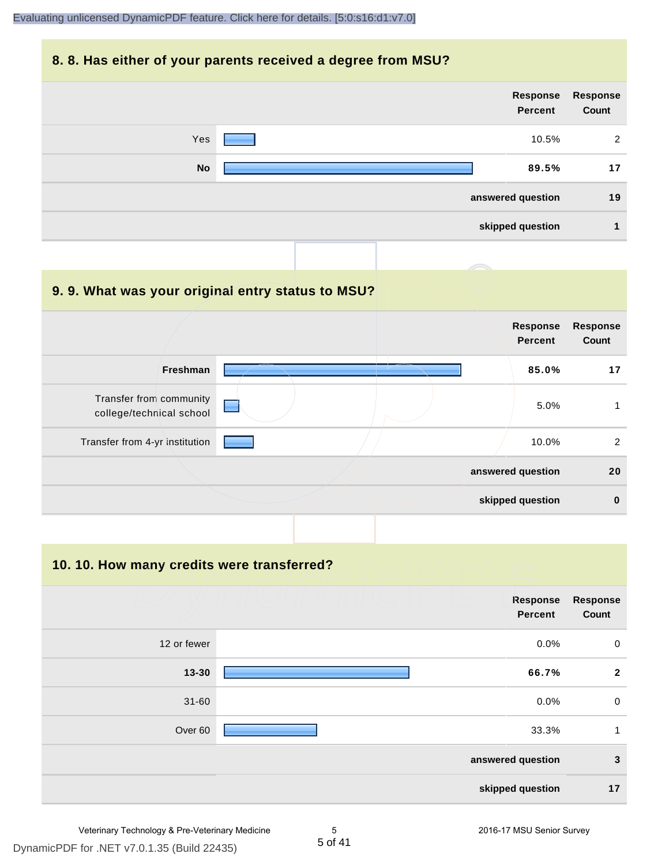#### **8. 8. Has either of your parents received a degree from MSU?**

|           |  | Response<br><b>Percent</b> | Response<br>Count |
|-----------|--|----------------------------|-------------------|
| Yes       |  | 10.5%                      | 2                 |
| <b>No</b> |  | 89.5%                      | 17                |
|           |  | answered question          | 19                |
|           |  | skipped question           | 1                 |

#### **9. 9. What was your original entry status to MSU?**

|                                                     |  | <b>Response</b><br><b>Percent</b> | <b>Response</b><br>Count |
|-----------------------------------------------------|--|-----------------------------------|--------------------------|
| <b>Freshman</b>                                     |  | 85.0%                             | 17                       |
| Transfer from community<br>college/technical school |  | 5.0%                              |                          |
| Transfer from 4-yr institution                      |  | 10.0%                             | 2                        |
|                                                     |  | answered question                 | 20                       |
|                                                     |  | skipped question                  | $\bf{0}$                 |

**10. 10. How many credits were transferred?**

|             | <b>Response</b><br><b>Percent</b> | <b>Response</b><br>Count |
|-------------|-----------------------------------|--------------------------|
| 12 or fewer | 0.0%                              | $\mathbf 0$              |
| $13 - 30$   | 66.7%                             | $\overline{2}$           |
| $31 - 60$   | 0.0%                              | $\mathbf 0$              |
| Over 60     | 33.3%                             | $\mathbf{1}$             |
|             | answered question                 | $\mathbf{3}$             |
|             | skipped question                  | 17                       |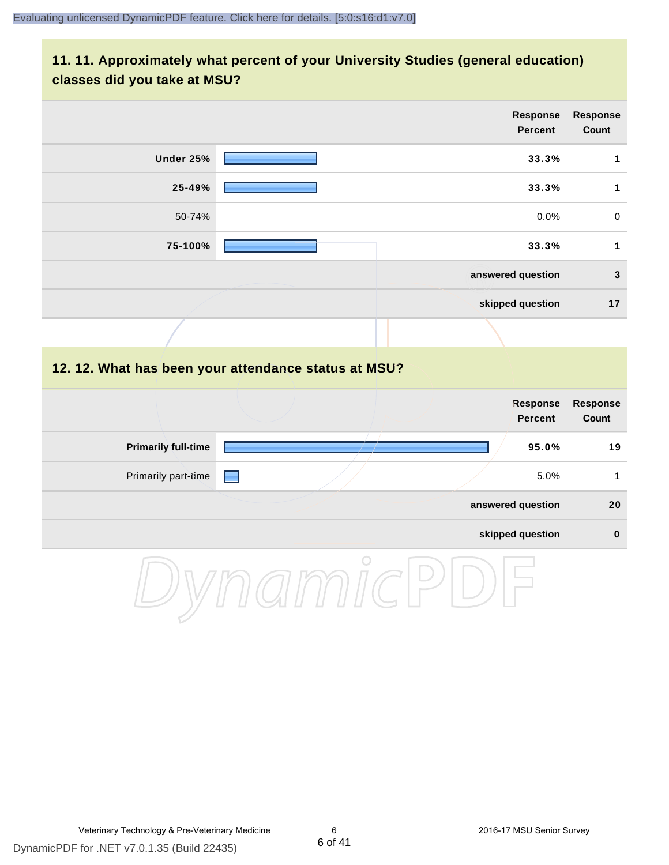## **11. 11. Approximately what percent of your University Studies (general education) classes did you take at MSU?**

|                            |                                                      | <b>Response</b><br><b>Percent</b> | Response<br>Count        |
|----------------------------|------------------------------------------------------|-----------------------------------|--------------------------|
| <b>Under 25%</b>           |                                                      | 33.3%                             | $\mathbf{1}$             |
| 25-49%                     |                                                      | 33.3%                             | $\mathbf 1$              |
| 50-74%                     |                                                      | 0.0%                              | $\mathbf 0$              |
| 75-100%                    |                                                      | 33.3%                             | $\mathbf{1}$             |
|                            |                                                      | answered question                 | $\mathbf{3}$             |
|                            |                                                      | skipped question                  | 17                       |
|                            |                                                      |                                   |                          |
|                            | 12. 12. What has been your attendance status at MSU? |                                   |                          |
|                            |                                                      | <b>Response</b><br><b>Percent</b> | <b>Response</b><br>Count |
| <b>Primarily full-time</b> |                                                      | 95.0%                             | 19                       |
| Primarily part-time        | <b>FRI</b>                                           | 5.0%                              | $\mathbf{1}$             |
|                            |                                                      | answered question                 | 20                       |
|                            |                                                      | skipped question                  | $\pmb{0}$                |
|                            | $\bigcirc$                                           |                                   |                          |

DynamicPDF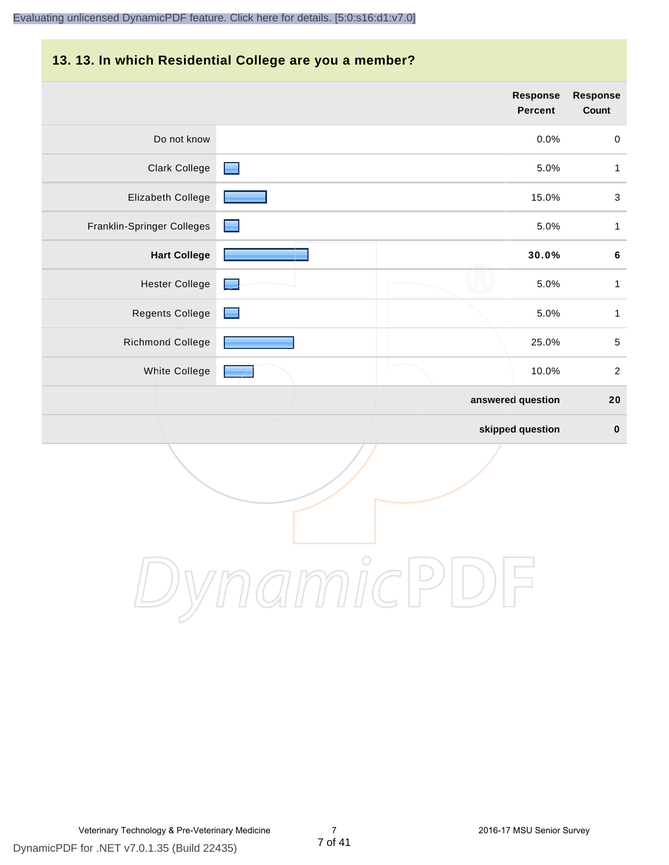#### **13. 13. In which Residential College are you a member?**

|                            | <b>Response</b><br><b>Percent</b> | <b>Response</b><br>Count  |
|----------------------------|-----------------------------------|---------------------------|
| Do not know                | 0.0%                              | $\mathbf 0$               |
| Clark College              | 5.0%                              | 1                         |
| Elizabeth College          | 15.0%                             | $\ensuremath{\mathsf{3}}$ |
| Franklin-Springer Colleges | 5.0%                              | 1                         |
| <b>Hart College</b>        | 30.0%                             | $\bf 6$                   |
| <b>Hester College</b>      | 5.0%<br><b>.</b>                  | $\mathbf{1}$              |
| <b>Regents College</b>     | 5.0%                              | 1                         |
| Richmond College           | 25.0%                             | $\sqrt{5}$                |
| White College              | 10.0%                             | $\sqrt{2}$                |
|                            | answered question                 | 20                        |
|                            | skipped question                  | $\boldsymbol{0}$          |

DynamicPDF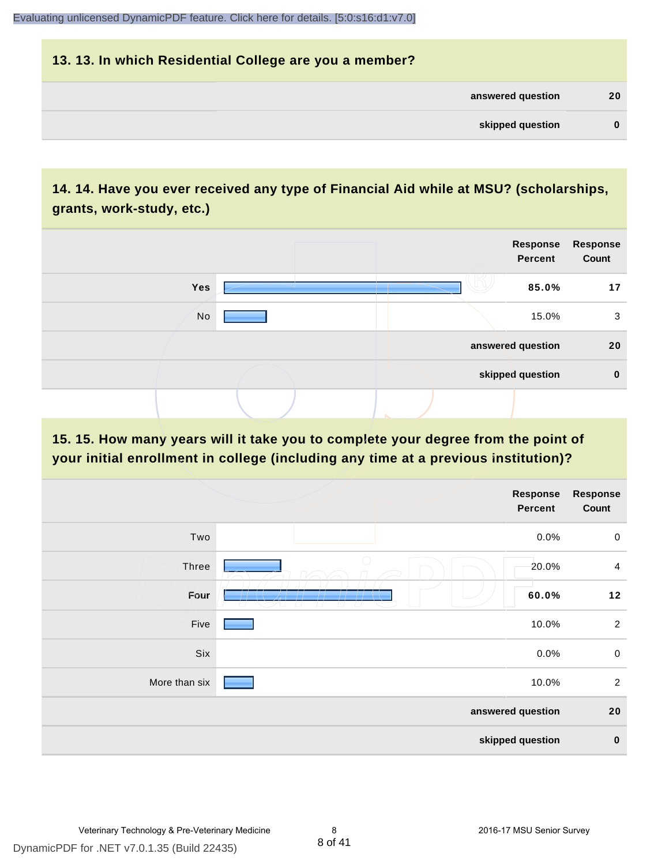## **13. 13. In which Residential College are you a member? answered question 20 skipped question 0**

## **14. 14. Have you ever received any type of Financial Aid while at MSU? (scholarships, grants, work-study, etc.)**

|     |  | Response<br><b>Percent</b> | <b>Response</b><br>Count |
|-----|--|----------------------------|--------------------------|
| Yes |  | 85.0%                      | 17                       |
| No  |  | 15.0%                      | 3                        |
|     |  | answered question          | 20                       |
|     |  | skipped question           | $\mathbf 0$              |
|     |  |                            |                          |

**15. 15. How many years will it take you to complete your degree from the point of your initial enrollment in college (including any time at a previous institution)?**

|               | Response<br><b>Percent</b>                                          | <b>Response</b><br>Count |
|---------------|---------------------------------------------------------------------|--------------------------|
| Two           | 0.0%                                                                | $\boldsymbol{0}$         |
| <b>Three</b>  | 20.0%                                                               | $\overline{4}$           |
| Four          | 60.0%<br>وسير استنبات المناسب<br>$\sim$ $\sim$ $\sim$ $\sim$ $\sim$ | $12$                     |
| Five          | 10.0%                                                               | $\overline{2}$           |
| Six           | 0.0%                                                                | $\mathsf 0$              |
| More than six | 10.0%                                                               | $\overline{2}$           |
|               | answered question                                                   | 20                       |
|               | skipped question                                                    | $\pmb{0}$                |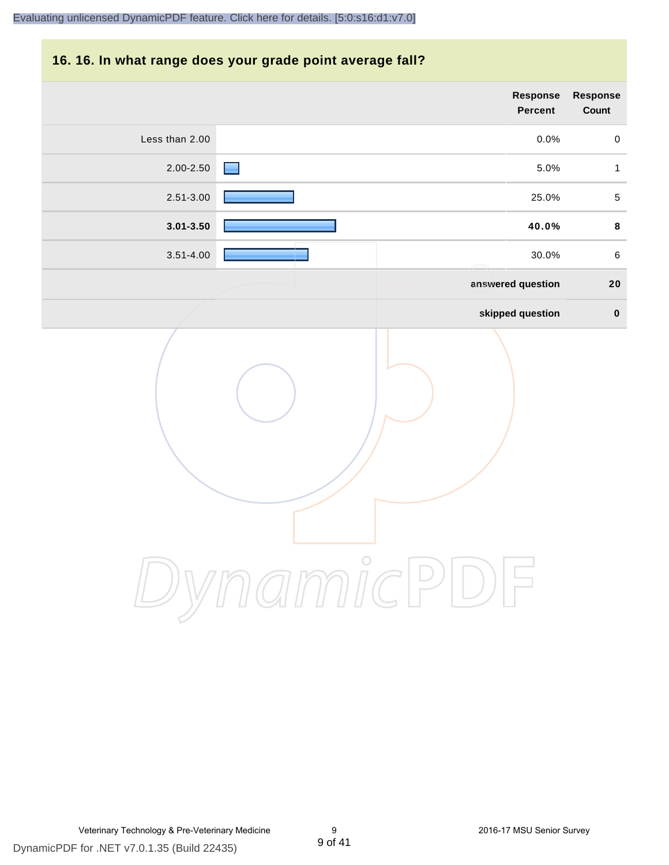## **16. 16. In what range does your grade point average fall?**

| Response<br>Count | <b>Response</b><br><b>Percent</b> |                |
|-------------------|-----------------------------------|----------------|
| $\mathbf 0$       | 0.0%                              | Less than 2.00 |
| $\mathbf{1}$      | 5.0%                              | 2.00-2.50      |
| $\sqrt{5}$        | 25.0%                             | 2.51-3.00      |
| $\bf8$            | 40.0%                             | $3.01 - 3.50$  |
| $\,6\,$           | 30.0%                             | $3.51 - 4.00$  |
| 20                | answered question                 |                |
| $\pmb{0}$         | skipped question                  |                |
|                   | amici<br>$\cup$                   |                |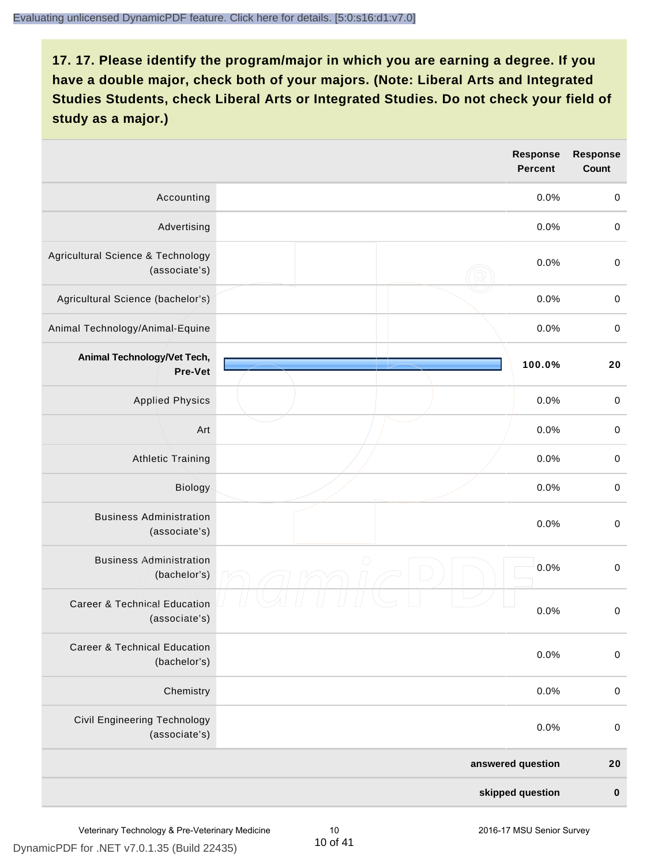|                                                          | <b>Response</b><br><b>Percent</b> | <b>Response</b><br><b>Count</b> |
|----------------------------------------------------------|-----------------------------------|---------------------------------|
| Accounting                                               | 0.0%                              | $\boldsymbol{0}$                |
| Advertising                                              | 0.0%                              | $\pmb{0}$                       |
| Agricultural Science & Technology<br>(associate's)       | 0.0%                              | $\pmb{0}$                       |
| Agricultural Science (bachelor's)                        | 0.0%                              | $\boldsymbol{0}$                |
| Animal Technology/Animal-Equine                          | 0.0%                              | $\pmb{0}$                       |
| Animal Technology/Vet Tech,<br>Pre-Vet                   | 100.0%                            | 20                              |
| <b>Applied Physics</b>                                   | 0.0%                              | $\pmb{0}$                       |
| Art                                                      | 0.0%                              | $\pmb{0}$                       |
| <b>Athletic Training</b>                                 | 0.0%                              | $\boldsymbol{0}$                |
| Biology                                                  | 0.0%                              | $\boldsymbol{0}$                |
| <b>Business Administration</b><br>(associate's)          | 0.0%                              | $\boldsymbol{0}$                |
| <b>Business Administration</b><br>(bachelor's)           | $\bigcirc$<br>0.0%                | $\pmb{0}$                       |
| <b>Career &amp; Technical Education</b><br>(associate's) | 0.0%                              | $\pmb{0}$                       |
| <b>Career &amp; Technical Education</b><br>(bachelor's)  | 0.0%                              | $\mathbf 0$                     |
| Chemistry                                                | 0.0%                              | $\pmb{0}$                       |
| <b>Civil Engineering Technology</b><br>(associate's)     | 0.0%                              | $\pmb{0}$                       |
|                                                          | answered question                 | 20                              |
|                                                          | skipped question                  | $\pmb{0}$                       |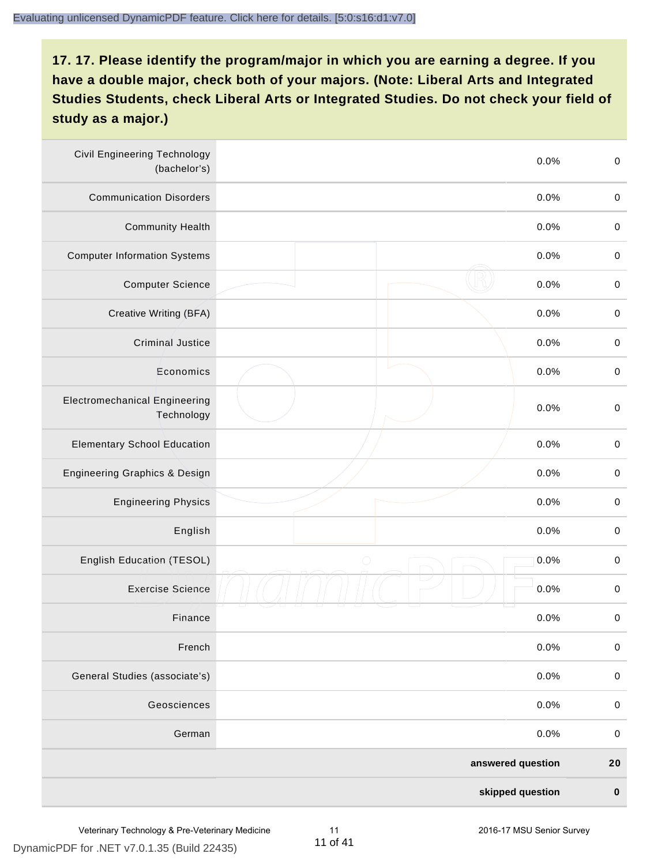| <b>Civil Engineering Technology</b><br>(bachelor's) | 0.0%               | $\boldsymbol{0}$ |
|-----------------------------------------------------|--------------------|------------------|
| <b>Communication Disorders</b>                      | 0.0%               | $\pmb{0}$        |
| <b>Community Health</b>                             | 0.0%               | $\boldsymbol{0}$ |
| <b>Computer Information Systems</b>                 | 0.0%               | $\boldsymbol{0}$ |
| <b>Computer Science</b>                             | 0.0%               | $\boldsymbol{0}$ |
| Creative Writing (BFA)                              | 0.0%               | $\boldsymbol{0}$ |
| <b>Criminal Justice</b>                             | 0.0%               | $\pmb{0}$        |
| Economics                                           | 0.0%               | $\mathbf 0$      |
| <b>Electromechanical Engineering</b><br>Technology  | 0.0%               | $\mathbf 0$      |
| <b>Elementary School Education</b>                  | 0.0%               | $\mathbf 0$      |
| Engineering Graphics & Design                       | 0.0%               | $\pmb{0}$        |
| <b>Engineering Physics</b>                          | 0.0%               | $\boldsymbol{0}$ |
| English                                             | 0.0%               | $\boldsymbol{0}$ |
| English Education (TESOL)                           | 0.0%<br>$\bigcirc$ | $\boldsymbol{0}$ |
| <b>Exercise Science</b>                             | 0.0%               | $\pmb{0}$        |
| Finance                                             | 0.0%               | $\boldsymbol{0}$ |
| French                                              | 0.0%               | $\mathbf 0$      |
| General Studies (associate's)                       | 0.0%               | $\pmb{0}$        |
| Geosciences                                         | 0.0%               | $\pmb{0}$        |
| German                                              | 0.0%               | $\pmb{0}$        |
|                                                     | answered question  | 20               |
|                                                     | skipped question   | $\pmb{0}$        |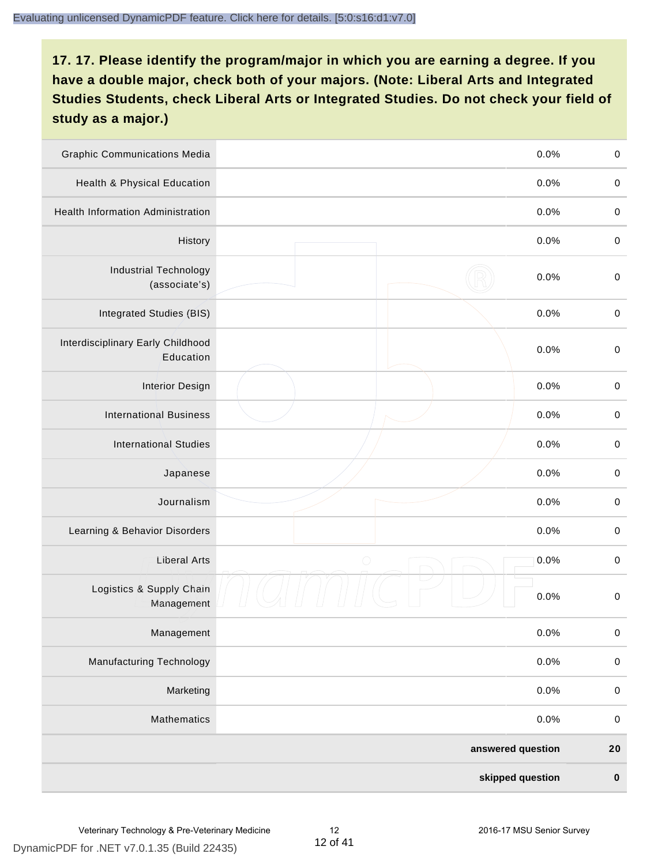| <b>Graphic Communications Media</b>            | 0.0%               | $\boldsymbol{0}$ |
|------------------------------------------------|--------------------|------------------|
| Health & Physical Education                    | 0.0%               | $\pmb{0}$        |
| <b>Health Information Administration</b>       | 0.0%               | $\pmb{0}$        |
| History                                        | 0.0%               | $\boldsymbol{0}$ |
| <b>Industrial Technology</b><br>(associate's)  | 0.0%               | $\pmb{0}$        |
| Integrated Studies (BIS)                       | 0.0%               | $\pmb{0}$        |
| Interdisciplinary Early Childhood<br>Education | 0.0%               | $\pmb{0}$        |
| <b>Interior Design</b>                         | 0.0%               | $\mathbf 0$      |
| <b>International Business</b>                  | 0.0%               | $\pmb{0}$        |
| <b>International Studies</b>                   | 0.0%               | $\boldsymbol{0}$ |
| Japanese                                       | 0.0%               | $\boldsymbol{0}$ |
| Journalism                                     | 0.0%               | $\pmb{0}$        |
| Learning & Behavior Disorders                  | 0.0%               | $\boldsymbol{0}$ |
| <b>Liberal Arts</b>                            | $\bigcirc$<br>0.0% | $\boldsymbol{0}$ |
| Logistics & Supply Chain<br>Management         | 0.0%               | $\pmb{0}$        |
| Management                                     | 0.0%               | $\pmb{0}$        |
| <b>Manufacturing Technology</b>                | 0.0%               | $\mathbf 0$      |
| Marketing                                      | 0.0%               | $\pmb{0}$        |
| Mathematics                                    | 0.0%               | $\pmb{0}$        |
|                                                | answered question  | 20               |
|                                                | skipped question   | $\pmb{0}$        |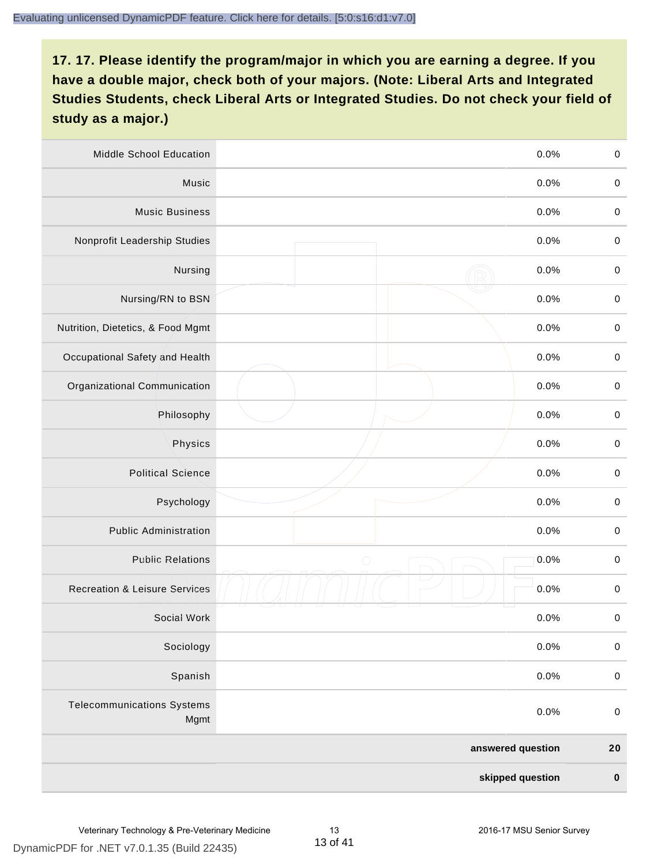| Middle School Education                   | 0.0%               | $\pmb{0}$        |
|-------------------------------------------|--------------------|------------------|
| Music                                     | 0.0%               | $\pmb{0}$        |
| <b>Music Business</b>                     | 0.0%               | $\pmb{0}$        |
| Nonprofit Leadership Studies              | 0.0%               | $\pmb{0}$        |
| Nursing                                   | 0.0%               | $\boldsymbol{0}$ |
| Nursing/RN to BSN                         | 0.0%               | $\boldsymbol{0}$ |
| Nutrition, Dietetics, & Food Mgmt         | 0.0%               | $\boldsymbol{0}$ |
| Occupational Safety and Health            | 0.0%               | $\boldsymbol{0}$ |
| Organizational Communication              | 0.0%               | $\pmb{0}$        |
| Philosophy                                | 0.0%               | $\pmb{0}$        |
| Physics                                   | 0.0%               | $\boldsymbol{0}$ |
| <b>Political Science</b>                  | 0.0%               | $\boldsymbol{0}$ |
| Psychology                                | 0.0%               | $\boldsymbol{0}$ |
| <b>Public Administration</b>              | 0.0%               | $\pmb{0}$        |
| <b>Public Relations</b>                   | $\bigcirc$<br>0.0% | $\boldsymbol{0}$ |
| <b>Recreation &amp; Leisure Services</b>  | 0.0%               | $\pmb{0}$        |
| Social Work                               | 0.0%               | $\pmb{0}$        |
| Sociology                                 | 0.0%               | $\pmb{0}$        |
| Spanish                                   | 0.0%               | $\mathbf 0$      |
| <b>Telecommunications Systems</b><br>Mgmt | 0.0%               | $\pmb{0}$        |
|                                           | answered question  | 20               |
|                                           | skipped question   | $\pmb{0}$        |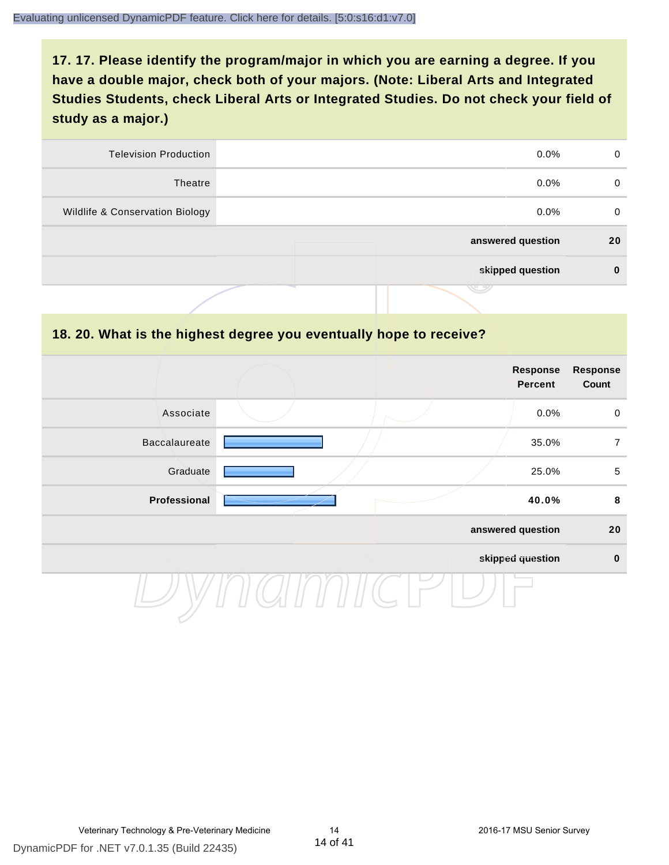| <b>Television Production</b>    | $0.0\%$           | 0        |
|---------------------------------|-------------------|----------|
| Theatre                         | $0.0\%$           | $\Omega$ |
| Wildlife & Conservation Biology | $0.0\%$           | $\Omega$ |
|                                 | answered question | 20       |
|                                 | skipped question  | 0        |
|                                 | تكا               |          |

#### **18. 20. What is the highest degree you eventually hope to receive?**

|                      |  | <b>Response</b><br><b>Percent</b> | Response<br>Count |
|----------------------|--|-----------------------------------|-------------------|
| Associate            |  | 0.0%                              | $\mathbf 0$       |
| <b>Baccalaureate</b> |  | 35.0%                             | $\overline{7}$    |
| Graduate             |  | 25.0%                             | $\sqrt{5}$        |
| Professional         |  | 40.0%                             | 8                 |
|                      |  | answered question                 | 20                |
|                      |  | skipped question                  | $\pmb{0}$         |
|                      |  |                                   |                   |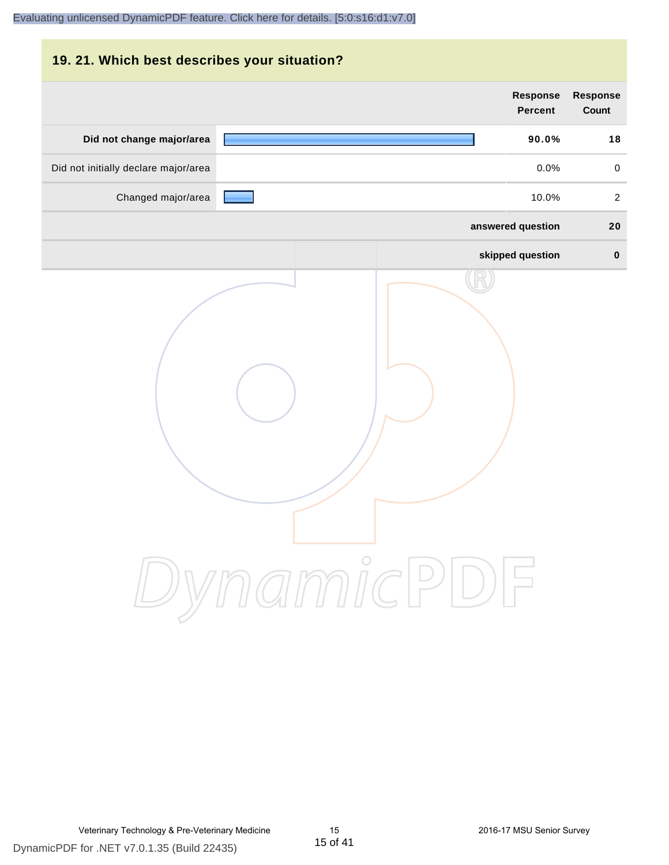## **19. 21. Which best describes your situation?**

|                                      | <b>Response</b><br><b>Percent</b> | <b>Response</b><br>Count |
|--------------------------------------|-----------------------------------|--------------------------|
| Did not change major/area            | 90.0%                             | 18                       |
| Did not initially declare major/area | 0.0%                              | $\mathsf{O}\xspace$      |
| Changed major/area                   | 10.0%                             | $\overline{a}$           |
|                                      | answered question                 | 20                       |
|                                      | skipped question                  | $\pmb{0}$                |
|                                      | ynamicPD                          |                          |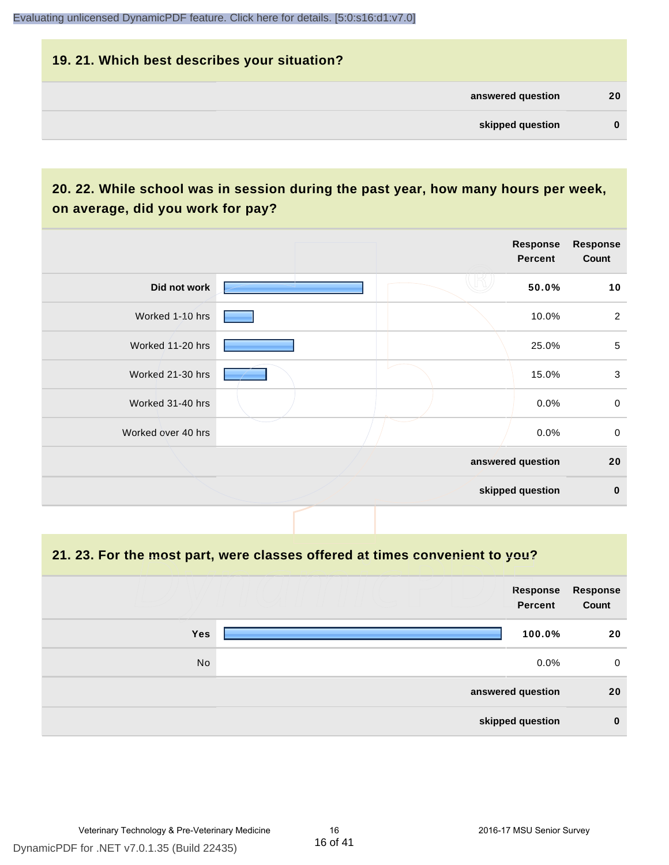#### **19. 21. Which best describes your situation?**

| answered question<br>skipped question |          |  |
|---------------------------------------|----------|--|
|                                       | 20       |  |
|                                       | $\bf{0}$ |  |

## **20. 22. While school was in session during the past year, how many hours per week, on average, did you work for pay?**

|                    | Response<br><b>Percent</b> | Response<br>Count |
|--------------------|----------------------------|-------------------|
| Did not work       | 50.0%                      | 10                |
| Worked 1-10 hrs    | 10.0%                      | $\overline{2}$    |
| Worked 11-20 hrs   | 25.0%                      | $\sqrt{5}$        |
| Worked 21-30 hrs   | 15.0%                      | $\sqrt{3}$        |
| Worked 31-40 hrs   | 0.0%                       | $\mathsf 0$       |
| Worked over 40 hrs | 0.0%                       | $\mathbf 0$       |
|                    | answered question          | 20                |
|                    | skipped question           | $\mathbf 0$       |

**21. 23. For the most part, were classes offered at times convenient to you?**

|            | <b>Response</b><br><b>Percent</b> | Response<br>Count |
|------------|-----------------------------------|-------------------|
| <b>Yes</b> | 100.0%                            | 20                |
| No         | $0.0\%$                           | $\mathbf 0$       |
|            | answered question                 | 20                |
|            | skipped question                  | $\bf{0}$          |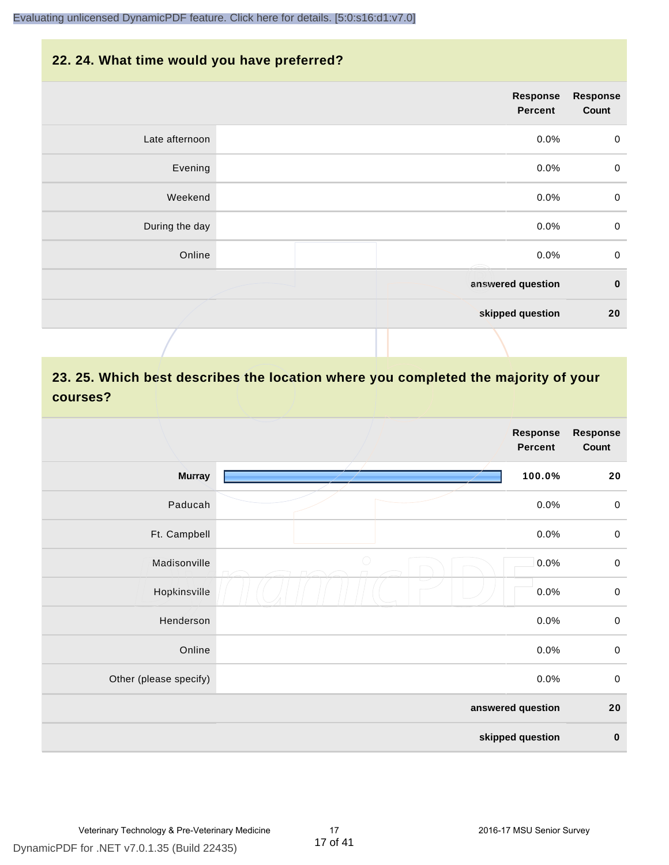#### **22. 24. What time would you have preferred?**

|                | Response<br><b>Percent</b> | <b>Response</b><br>Count |
|----------------|----------------------------|--------------------------|
| Late afternoon | 0.0%                       | $\mathbf 0$              |
| Evening        | 0.0%                       | $\pmb{0}$                |
| Weekend        | 0.0%                       | $\,0\,$                  |
| During the day | 0.0%                       | $\mathbf 0$              |
| Online         | 0.0%                       | $\mathsf 0$              |
|                | answered question          | $\pmb{0}$                |
|                | skipped question           | 20                       |
|                |                            |                          |

## **23. 25. Which best describes the location where you completed the majority of your courses?**

|                        | <b>Response</b><br><b>Percent</b> | Response<br>Count |
|------------------------|-----------------------------------|-------------------|
| <b>Murray</b>          | 100.0%                            | 20                |
| Paducah                | 0.0%                              | $\,0\,$           |
| Ft. Campbell           | 0.0%                              | $\,0\,$           |
| Madisonville           | $\bigcirc$<br>0.0%                | $\pmb{0}$         |
| Hopkinsville           | 0.0%                              | $\boldsymbol{0}$  |
| Henderson              | 0.0%                              | $\mathbf 0$       |
| Online                 | 0.0%                              | $\,0\,$           |
| Other (please specify) | 0.0%                              | $\pmb{0}$         |
|                        | answered question                 | 20                |
|                        | skipped question                  | $\pmb{0}$         |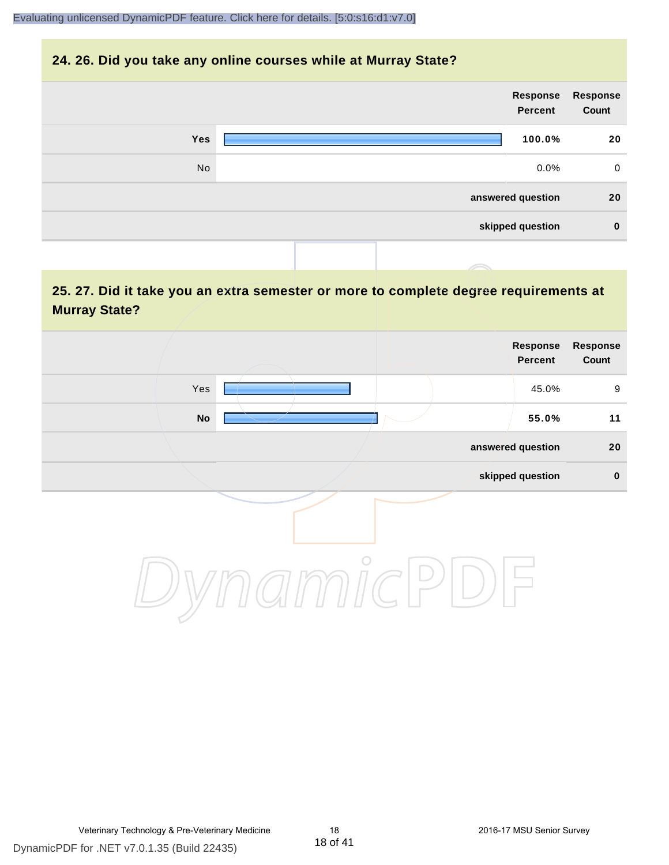#### **24. 26. Did you take any online courses while at Murray State?**

| Response<br>Count | Response<br><b>Percent</b> |  |            |  |
|-------------------|----------------------------|--|------------|--|
| 20                | 100.0%                     |  | <b>Yes</b> |  |
| $\mathbf 0$       | $0.0\%$                    |  | No         |  |
| 20                | answered question          |  |            |  |
| $\mathbf 0$       | skipped question           |  |            |  |
|                   |                            |  |            |  |

## **25. 27. Did it take you an extra semester or more to complete degree requirements at Murray State?**

|            | Response<br>Percent | Response<br>Count |
|------------|---------------------|-------------------|
| Yes        | 45.0%               | 9                 |
| ${\sf No}$ | 55.0%               | 11                |
|            | answered question   | $20\,$            |
|            | skipped question    | $\pmb{0}$         |
| $\circ$    |                     |                   |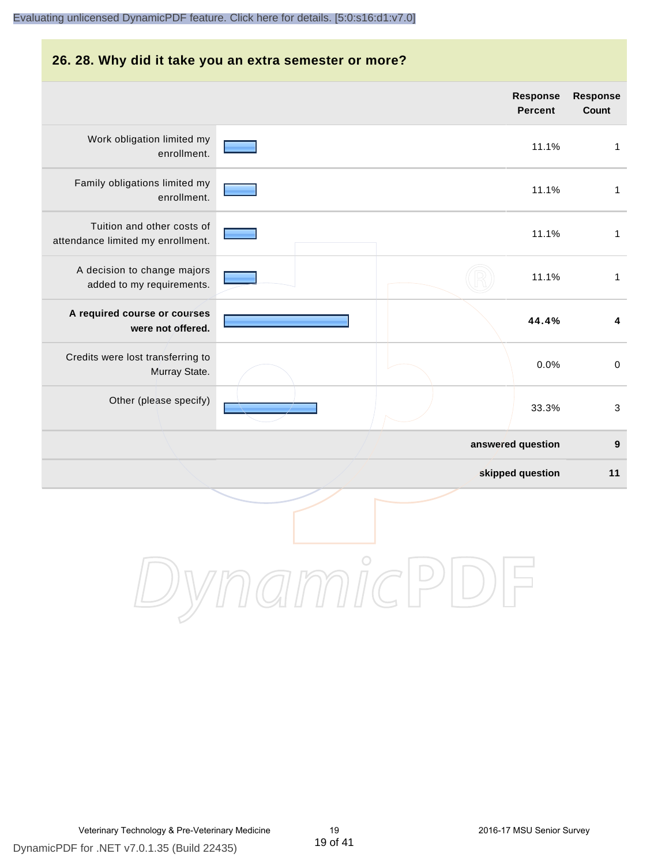#### **26. 28. Why did it take you an extra semester or more?**

|                                                                 |  | Response<br><b>Percent</b> | Response<br>Count         |
|-----------------------------------------------------------------|--|----------------------------|---------------------------|
| Work obligation limited my<br>enrollment.                       |  | 11.1%                      | $\mathbf{1}$              |
| Family obligations limited my<br>enrollment.                    |  | 11.1%                      | $\mathbf{1}$              |
| Tuition and other costs of<br>attendance limited my enrollment. |  | 11.1%                      | $\mathbf{1}$              |
| A decision to change majors<br>added to my requirements.        |  | 11.1%                      | $\mathbf{1}$              |
| A required course or courses<br>were not offered.               |  | 44.4%                      | $\overline{\mathbf{4}}$   |
| Credits were lost transferring to<br>Murray State.              |  | 0.0%                       | $\pmb{0}$                 |
| Other (please specify)                                          |  | 33.3%                      | $\ensuremath{\mathsf{3}}$ |
|                                                                 |  | answered question          | $\boldsymbol{9}$          |
|                                                                 |  | skipped question           | 11                        |
|                                                                 |  |                            |                           |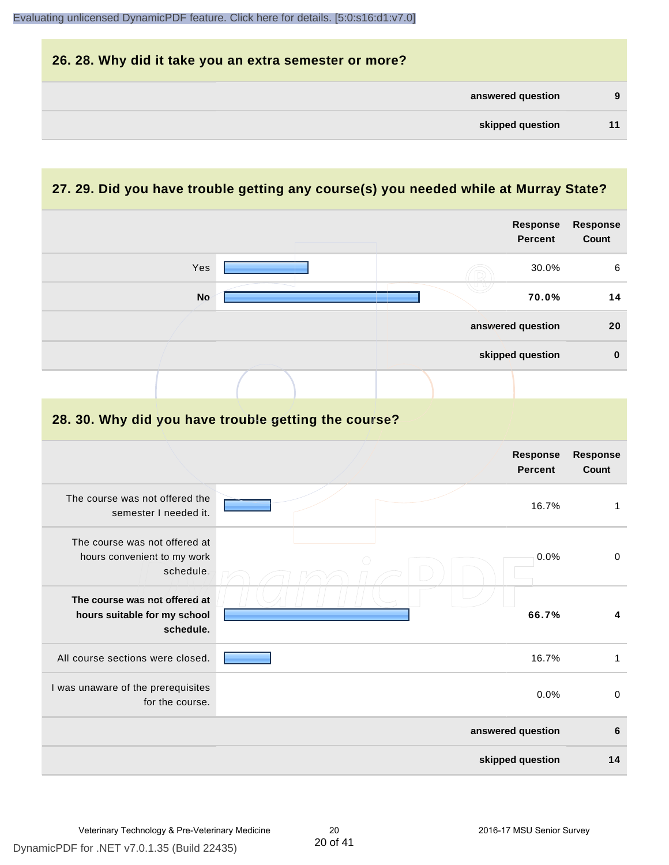| 26. 28. Why did it take you an extra semester or more? |   |
|--------------------------------------------------------|---|
| answered question                                      | 9 |
| skipped question                                       |   |

## **27. 29. Did you have trouble getting any course(s) you needed while at Murray State?**

|                                                                            | Response<br><b>Percent</b>                           | <b>Response</b><br><b>Count</b> |
|----------------------------------------------------------------------------|------------------------------------------------------|---------------------------------|
| Yes                                                                        | 30.0%                                                | 6                               |
| <b>No</b>                                                                  | 70.0%                                                | 14                              |
|                                                                            | answered question                                    | 20                              |
|                                                                            | skipped question                                     | $\mathbf 0$                     |
|                                                                            |                                                      |                                 |
|                                                                            | 28. 30. Why did you have trouble getting the course? |                                 |
|                                                                            | Response<br><b>Percent</b>                           | Response<br><b>Count</b>        |
| The course was not offered the<br>semester I needed it.                    | 16.7%                                                | $\mathbf{1}$                    |
| The course was not offered at<br>hours convenient to my work<br>schedule.  | 0.0%                                                 | $\mathbf 0$                     |
| The course was not offered at<br>hours suitable for my school<br>schedule. | 66.7%                                                | 4                               |
| All course sections were closed.                                           | 16.7%                                                | $\mathbf{1}$                    |
| I was unaware of the prerequisites<br>for the course.                      | 0.0%                                                 | $\mathbf 0$                     |
|                                                                            | answered question                                    | 6                               |
|                                                                            | skipped question                                     | 14                              |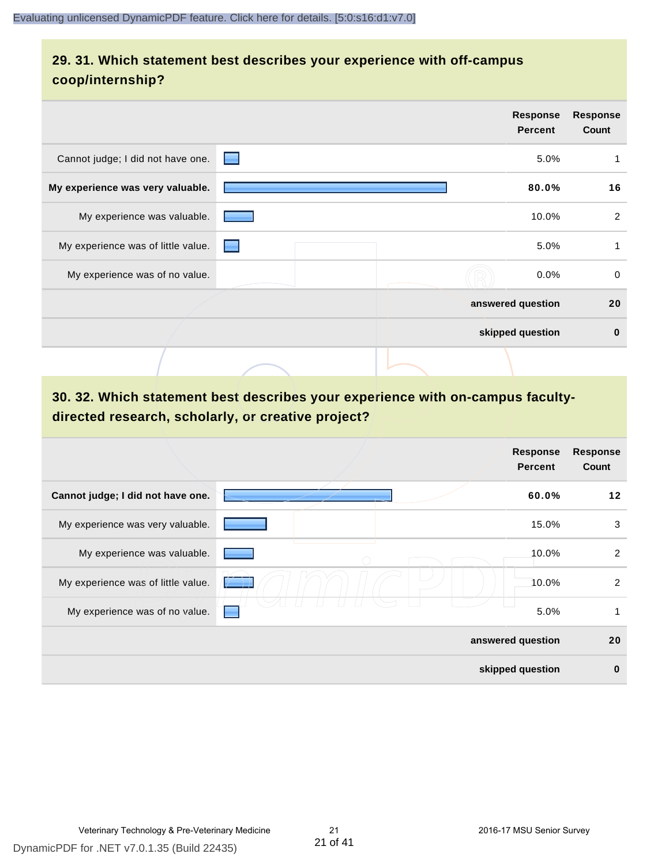## **29. 31. Which statement best describes your experience with off-campus coop/internship?**

|                                    | <b>Response</b><br><b>Percent</b>                                                                                                                                                                                                      | <b>Response</b><br>Count |
|------------------------------------|----------------------------------------------------------------------------------------------------------------------------------------------------------------------------------------------------------------------------------------|--------------------------|
| Cannot judge; I did not have one.  | 5.0%<br>▀                                                                                                                                                                                                                              | 1                        |
| My experience was very valuable.   | 80.0%                                                                                                                                                                                                                                  | 16                       |
| My experience was valuable.        | 10.0%                                                                                                                                                                                                                                  | $\overline{c}$           |
| My experience was of little value. | 5.0%<br>e de la partie de la partie de la partie de la partie de la partie de la partie de la partie de la partie de la partie de la partie de la partie de la partie de la partie de la partie de la partie de la partie de la partie | 1                        |
| My experience was of no value.     | 0.0%                                                                                                                                                                                                                                   | $\mathbf 0$              |
|                                    | answered question                                                                                                                                                                                                                      | 20                       |
|                                    | skipped question                                                                                                                                                                                                                       | $\bf{0}$                 |
|                                    |                                                                                                                                                                                                                                        |                          |

## **30. 32. Which statement best describes your experience with on-campus facultydirected research, scholarly, or creative project?**

|                                    | <b>Response</b><br><b>Percent</b> | <b>Response</b><br>Count |
|------------------------------------|-----------------------------------|--------------------------|
| Cannot judge; I did not have one.  | 60.0%                             | $12 \,$                  |
| My experience was very valuable.   |                                   | 3<br>15.0%               |
| My experience was valuable.        |                                   | 2<br>10.0%               |
| My experience was of little value. |                                   | $\overline{2}$<br>10.0%  |
| My experience was of no value.     |                                   | 5.0%<br>1                |
|                                    | answered question                 | 20                       |
|                                    | skipped question                  | $\bf{0}$                 |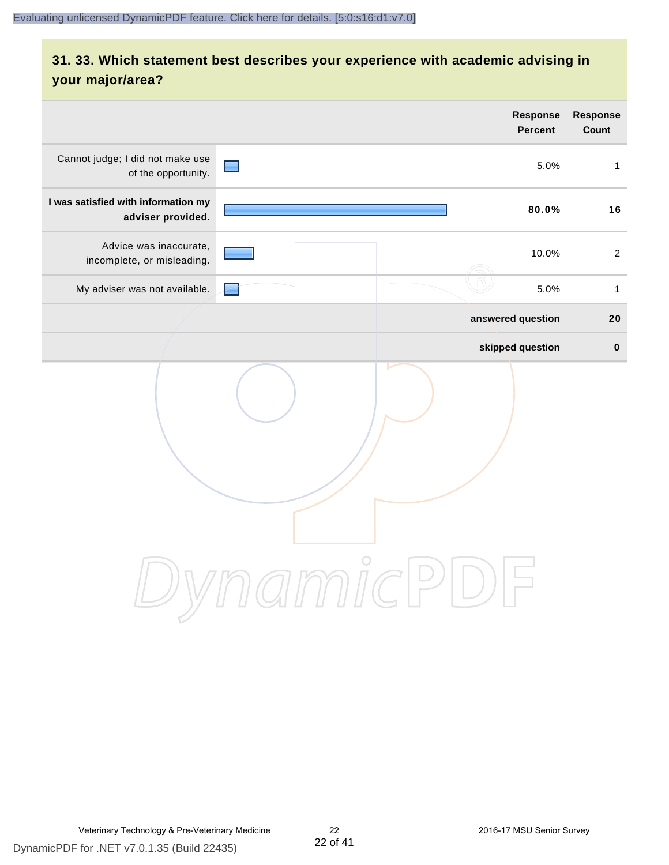## **31. 33. Which statement best describes your experience with academic advising in your major/area?**

|                                                          | Response<br><b>Percent</b> | Response<br>Count |
|----------------------------------------------------------|----------------------------|-------------------|
| Cannot judge; I did not make use<br>of the opportunity.  | $\blacksquare$<br>5.0%     | $\mathbf{1}$      |
| I was satisfied with information my<br>adviser provided. | 80.0%                      | 16                |
| Advice was inaccurate,<br>incomplete, or misleading.     | 10.0%                      | $\overline{2}$    |
| My adviser was not available.                            | 5.0%                       | $\mathbf{1}$      |
|                                                          | answered question          | 20                |
|                                                          | skipped question           | $\pmb{0}$         |
|                                                          | ammic                      |                   |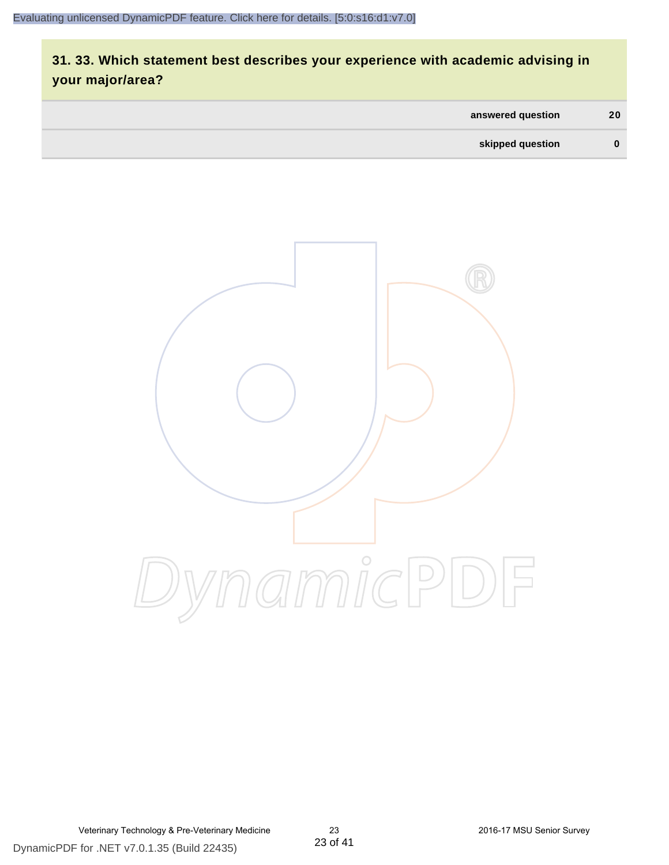## **31. 33. Which statement best describes your experience with academic advising in your major/area?**

| answered question | 20       |
|-------------------|----------|
| skipped question  | $\bf{0}$ |

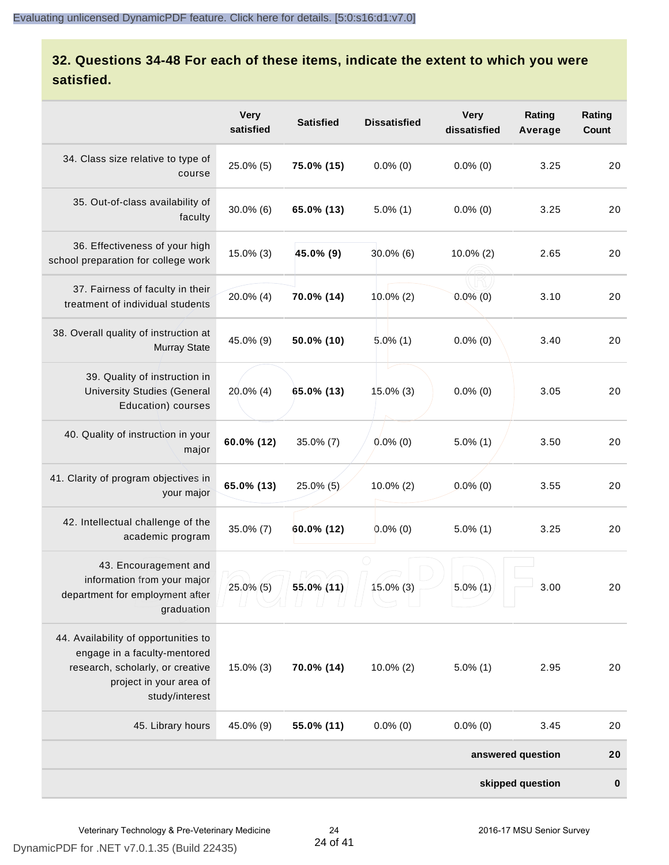## **32. Questions 34-48 For each of these items, indicate the extent to which you were satisfied.**

|                                                                                                                                                       | <b>Very</b><br>satisfied | <b>Satisfied</b> | <b>Dissatisfied</b> | <b>Very</b><br>dissatisfied | Rating<br>Average | Rating<br>Count |
|-------------------------------------------------------------------------------------------------------------------------------------------------------|--------------------------|------------------|---------------------|-----------------------------|-------------------|-----------------|
| 34. Class size relative to type of<br>course                                                                                                          | 25.0% (5)                | 75.0% (15)       | $0.0\%$ (0)         | $0.0\%$ (0)                 | 3.25              | 20              |
| 35. Out-of-class availability of<br>faculty                                                                                                           | $30.0\%$ (6)             | 65.0% (13)       | $5.0\%$ (1)         | $0.0\%$ (0)                 | 3.25              | 20              |
| 36. Effectiveness of your high<br>school preparation for college work                                                                                 | $15.0\%$ (3)             | 45.0% (9)        | $30.0\%$ (6)        | $10.0\%$ (2)                | 2.65              | 20              |
| 37. Fairness of faculty in their<br>treatment of individual students                                                                                  | 20.0% (4)                | 70.0% (14)       | $10.0\%$ (2)        | $0.0\%$ (0)                 | 3.10              | 20              |
| 38. Overall quality of instruction at<br><b>Murray State</b>                                                                                          | 45.0% (9)                | 50.0% (10)       | $5.0\%$ (1)         | $0.0\%$ (0)                 | 3.40              | 20              |
| 39. Quality of instruction in<br><b>University Studies (General</b><br>Education) courses                                                             | $20.0\%$ (4)             | 65.0% (13)       | ⊵<br>15.0% (3)      | $0.0\%$ (0)                 | 3.05              | 20              |
| 40. Quality of instruction in your<br>major                                                                                                           | 60.0% (12)               | $35.0\%$ (7)     | $0.0\%$ (0)         | $5.0\%$ (1)                 | 3.50              | 20              |
| 41. Clarity of program objectives in<br>your major                                                                                                    | 65.0% (13)               | $25.0\%$ (5)     | 10.0% (2)           | $0.0\%$ (0)                 | 3.55              | 20              |
| 42. Intellectual challenge of the<br>academic program                                                                                                 | 35.0% (7)                | 60.0% (12)       | $0.0\%$ (0)         | $5.0\%$ (1)                 | 3.25              | 20              |
| 43. Encouragement and<br>information from your major<br>department for employment after<br>graduation                                                 | 25.0% (5)                | 55.0% (11)       | $15.0\%$ (3)        | $5.0\%$ (1)                 | 3.00              | 20              |
| 44. Availability of opportunities to<br>engage in a faculty-mentored<br>research, scholarly, or creative<br>project in your area of<br>study/interest | 15.0% (3)                | 70.0% (14)       | $10.0\%$ (2)        | $5.0\%$ (1)                 | 2.95              | 20              |
| 45. Library hours                                                                                                                                     | 45.0% (9)                | 55.0% (11)       | $0.0\%$ (0)         | $0.0\%$ (0)                 | 3.45              | 20              |
|                                                                                                                                                       |                          |                  |                     |                             | answered question | 20              |
|                                                                                                                                                       |                          |                  |                     |                             | skipped question  | 0               |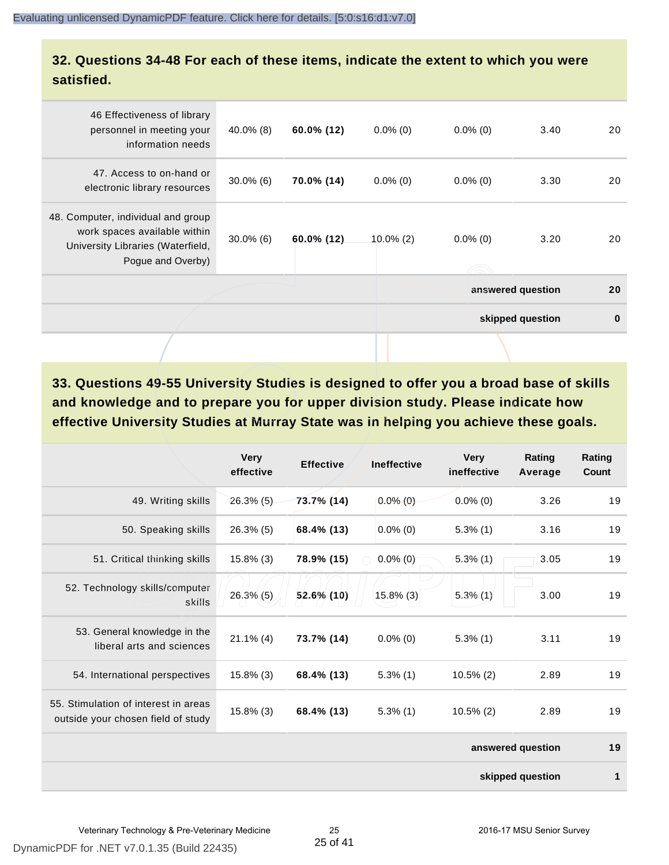### **32. Questions 34-48 For each of these items, indicate the extent to which you were satisfied.**

| 46 Effectiveness of library<br>personnel in meeting your<br>information needs                                                | 40.0% (8)    | $60.0\%$ (12) | $0.0\%$ (0)  | $0.0\%$ (0) | 3.40              | 20       |
|------------------------------------------------------------------------------------------------------------------------------|--------------|---------------|--------------|-------------|-------------------|----------|
| 47. Access to on-hand or<br>electronic library resources                                                                     | $30.0\%$ (6) | 70.0% (14)    | $0.0\%$ (0)  | $0.0\%$ (0) | 3.30              | 20       |
| 48. Computer, individual and group<br>work spaces available within<br>University Libraries (Waterfield,<br>Pogue and Overby) | $30.0\%$ (6) | $60.0\%$ (12) | $10.0\%$ (2) | $0.0\%$ (0) | 3.20              | 20       |
|                                                                                                                              |              |               |              |             | answered question | 20       |
|                                                                                                                              |              |               |              |             | skipped question  | $\bf{0}$ |
|                                                                                                                              |              |               |              |             |                   |          |

**33. Questions 49-55 University Studies is designed to offer you a broad base of skills and knowledge and to prepare you for upper division study. Please indicate how effective University Studies at Murray State was in helping you achieve these goals.**

|                                                                            | <b>Very</b><br>effective | <b>Effective</b> | <b>Ineffective</b> | <b>Very</b><br>ineffective | Rating<br>Average | Rating<br>Count |
|----------------------------------------------------------------------------|--------------------------|------------------|--------------------|----------------------------|-------------------|-----------------|
| 49. Writing skills                                                         | $26.3\%$ (5)             | $73.7\%$ (14)    | $0.0\%$ (0)        | $0.0\%$ (0)                | 3.26              | 19              |
| 50. Speaking skills                                                        | 26.3% (5)                | 68.4% (13)       | $0.0\%$ (0)        | $5.3\%$ (1)                | 3.16              | 19              |
| 51. Critical thinking skills                                               | $15.8\%$ (3)             | 78.9% (15)       | $0.0\%$ (0)        | $5.3\%(1)$                 | 3.05              | 19              |
| 52. Technology skills/computer<br>skills                                   | $26.3\%$ (5)             | 52.6% (10)       | $15.8\%$ (3)       | $5.3\%$ (1)                | 3.00              | 19              |
| 53. General knowledge in the<br>liberal arts and sciences                  | $21.1\%$ (4)             | 73.7% (14)       | $0.0\%$ (0)        | $5.3\%$ (1)                | 3.11              | 19              |
| 54. International perspectives                                             | $15.8\%$ (3)             | 68.4% (13)       | $5.3\%$ (1)        | $10.5\%$ (2)               | 2.89              | 19              |
| 55. Stimulation of interest in areas<br>outside your chosen field of study | $15.8\%$ (3)             | 68.4% (13)       | $5.3\%$ (1)        | $10.5\%$ (2)               | 2.89              | 19              |
|                                                                            |                          |                  |                    |                            | answered question | 19              |
|                                                                            |                          |                  |                    |                            | skipped question  | $\mathbf 1$     |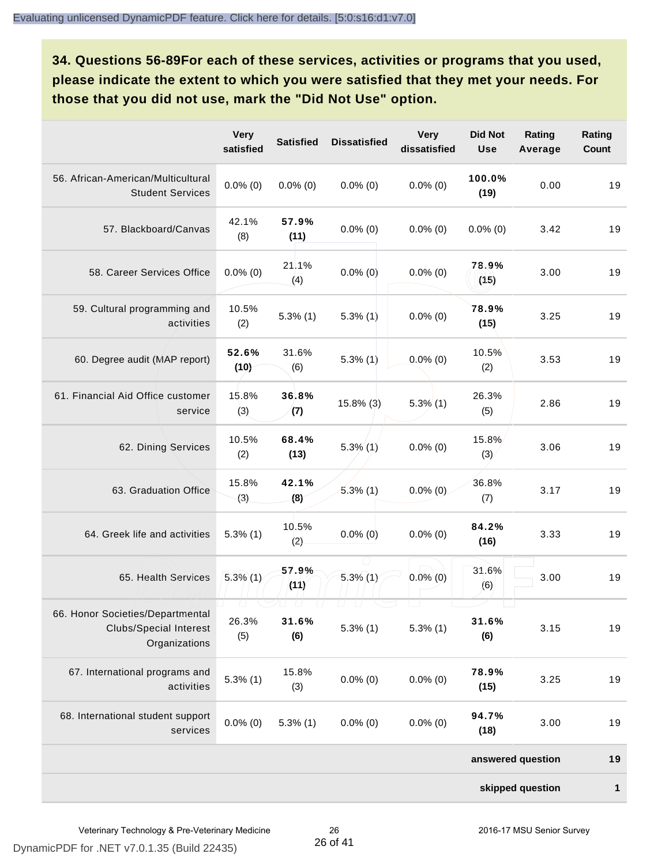**34. Questions 56-89For each of these services, activities or programs that you used, please indicate the extent to which you were satisfied that they met your needs. For those that you did not use, mark the "Did Not Use" option.**

|                                                                                    | <b>Very</b><br>satisfied | <b>Satisfied</b>                   | <b>Dissatisfied</b>          | <b>Very</b><br>dissatisfied | <b>Did Not</b><br><b>Use</b> | Rating<br>Average | Rating<br>Count |
|------------------------------------------------------------------------------------|--------------------------|------------------------------------|------------------------------|-----------------------------|------------------------------|-------------------|-----------------|
| 56. African-American/Multicultural<br><b>Student Services</b>                      | $0.0\%$ (0)              | $0.0\%$ (0)                        | $0.0\%$ (0)                  | $0.0\%$ (0)                 | 100.0%<br>(19)               | 0.00              | 19              |
| 57. Blackboard/Canvas                                                              | 42.1%<br>(8)             | 57.9%<br>(11)                      | $0.0\%$ (0)                  | $0.0\%$ (0)                 | $0.0\%$ (0)                  | 3.42              | 19              |
| 58. Career Services Office                                                         | $0.0\%$ (0)              | 21.1%<br>(4)                       | $0.0\%$ (0)                  | $0.0\%$ (0)                 | 78.9%<br>(15)                | 3.00              | 19              |
| 59. Cultural programming and<br>activities                                         | 10.5%<br>(2)             | $5.3\%$ (1)                        | $5.3\%$ (1)                  | $0.0\%$ (0)                 | 78.9%<br>(15)                | 3.25              | 19              |
| 60. Degree audit (MAP report)                                                      | 52.6%<br>(10)            | 31.6%<br>(6)                       | $5.3\%$ (1)                  | $0.0\%$ (0)                 | 10.5%<br>(2)                 | 3.53              | 19              |
| 61. Financial Aid Office customer<br>service                                       | 15.8%<br>(3)             | 36.8%<br>(7)                       | $15.8\%$ (3)                 | $5.3\%$ $(1)$               | 26.3%<br>(5)                 | 2.86              | 19              |
| 62. Dining Services                                                                | 10.5%<br>(2)             | 68.4%<br>(13)                      | $5.3\%$ (1)                  | $0.0\%$ (0)                 | 15.8%<br>(3)                 | 3.06              | 19              |
| 63. Graduation Office                                                              | 15.8%<br>(3)             | 42.1%<br>(8)                       | $5.3\%$ (1)                  | $0.0\%$ (0)                 | 36.8%<br>(7)                 | 3.17              | 19              |
| 64. Greek life and activities                                                      | $5.3\%$ (1)              | 10.5%<br>(2)                       | $0.0\%$ (0)                  | $0.0\%$ (0)                 | 84.2%<br>(16)                | 3.33              | 19              |
| 65. Health Services                                                                | $5.3\%$ (1)              | 57.9%<br>(11)                      | $5.3\%$ (1)                  | $0.0\%$ (0)                 | 31.6%<br>(6)                 | 3.00              | 19              |
| 66. Honor Societies/Departmental<br><b>Clubs/Special Interest</b><br>Organizations | 26.3%<br>(5)             | $\Box$<br>$\sqcup$<br>31.6%<br>(6) | LJ.<br>$\Box$<br>$5.3\%$ (1) | $5.3\%$ (1)                 | 31.6%<br>(6)                 | 3.15              | 19              |
| 67. International programs and<br>activities                                       | $5.3\%$ (1)              | 15.8%<br>(3)                       | $0.0\%$ (0)                  | $0.0\%$ (0)                 | 78.9%<br>(15)                | 3.25              | 19              |
| 68. International student support<br>services                                      | $0.0\%$ (0)              | $5.3\%$ (1)                        | $0.0\%$ (0)                  | $0.0\%$ (0)                 | 94.7%<br>(18)                | 3.00              | 19              |
|                                                                                    |                          |                                    |                              |                             |                              | answered question | 19              |
|                                                                                    |                          |                                    |                              |                             |                              | skipped question  | 1               |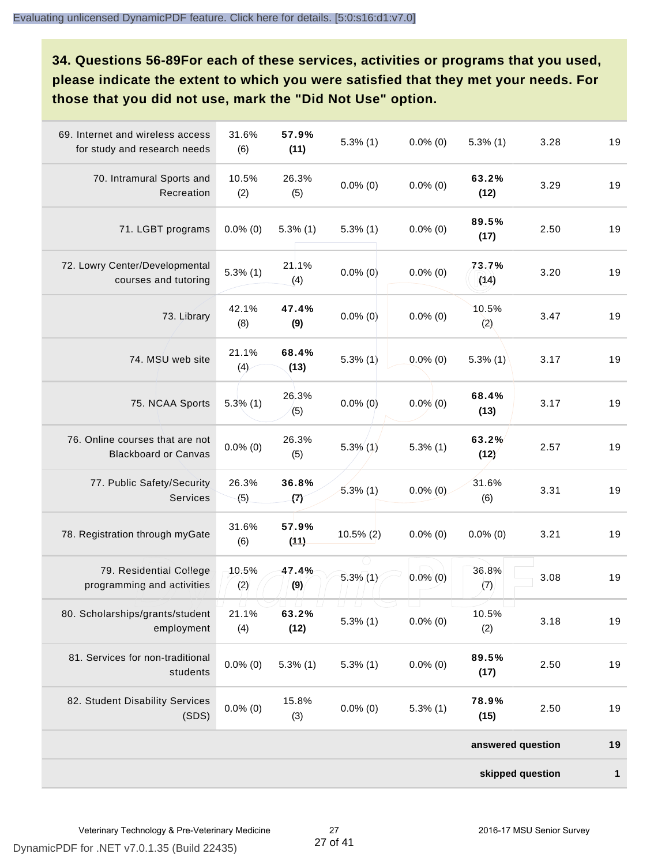**34. Questions 56-89For each of these services, activities or programs that you used, please indicate the extent to which you were satisfied that they met your needs. For those that you did not use, mark the "Did Not Use" option.**

| 69. Internet and wireless access<br>for study and research needs | 31.6%<br>(6) | 57.9%<br>(11) | $5.3\%$ (1)                 | $0.0\%$ (0) | $5.3\%$ (1)       | 3.28 | 19           |
|------------------------------------------------------------------|--------------|---------------|-----------------------------|-------------|-------------------|------|--------------|
| 70. Intramural Sports and<br>Recreation                          | 10.5%<br>(2) | 26.3%<br>(5)  | $0.0\%$ (0)                 | $0.0\%$ (0) | 63.2%<br>(12)     | 3.29 | 19           |
| 71. LGBT programs                                                | $0.0\%$ (0)  | $5.3\%$ (1)   | $5.3\%$ (1)                 | $0.0\%$ (0) | 89.5%<br>(17)     | 2.50 | 19           |
| 72. Lowry Center/Developmental<br>courses and tutoring           | $5.3\%$ (1)  | 21.1%<br>(4)  | $0.0\%$ (0)                 | $0.0\%$ (0) | 73.7%<br>(14)     | 3.20 | 19           |
| 73. Library                                                      | 42.1%<br>(8) | 47.4%<br>(9)  | $0.0\%$ (0)                 | $0.0\%$ (0) | 10.5%<br>(2)      | 3.47 | 19           |
| 74. MSU web site                                                 | 21.1%<br>(4) | 68.4%<br>(13) | $5.3\%$ (1)                 | $0.0\%$ (0) | $5.3\%$ (1)       | 3.17 | 19           |
| 75. NCAA Sports                                                  | $5.3\%$ (1)  | 26.3%<br>(5)  | $0.0\%$ (0)                 | $0.0\%$ (0) | 68.4%<br>(13)     | 3.17 | 19           |
| 76. Online courses that are not<br><b>Blackboard or Canvas</b>   | $0.0\%$ (0)  | 26.3%<br>(5)  | $5.3\%$ (1)                 | $5.3\%$ (1) | 63.2%<br>(12)     | 2.57 | 19           |
| 77. Public Safety/Security<br>Services                           | 26.3%<br>(5) | 36.8%<br>(7)  | $5.3\%$ (1)                 | $0.0\%$ (0) | 31.6%<br>(6)      | 3.31 | 19           |
| 78. Registration through myGate                                  | 31.6%<br>(6) | 57.9%<br>(11) | $10.5\%$ (2)                | $0.0\%$ (0) | $0.0\%$ (0)       | 3.21 | 19           |
| 79. Residential College<br>programming and activities            | 10.5%<br>(2) | 47.4%<br>(9)  | $5.3\%$ (1)                 | $0.0\%$ (0) | 36.8%<br>(7)      | 3.08 | 19           |
| 80. Scholarships/grants/student<br>employment                    | 21.1%<br>(4) | 63.2%<br>(12) | U.<br>$\Box$<br>$5.3\%$ (1) | $0.0\%$ (0) | 10.5%<br>(2)      | 3.18 | 19           |
| 81. Services for non-traditional<br>students                     | $0.0\%$ (0)  | $5.3\%$ (1)   | $5.3\%$ (1)                 | $0.0\%$ (0) | 89.5%<br>(17)     | 2.50 | 19           |
| 82. Student Disability Services<br>(SDS)                         | $0.0\%$ (0)  | 15.8%<br>(3)  | $0.0\%$ (0)                 | $5.3\%$ (1) | 78.9%<br>(15)     | 2.50 | 19           |
|                                                                  |              |               |                             |             | answered question |      | 19           |
|                                                                  |              |               |                             |             | skipped question  |      | $\mathbf{1}$ |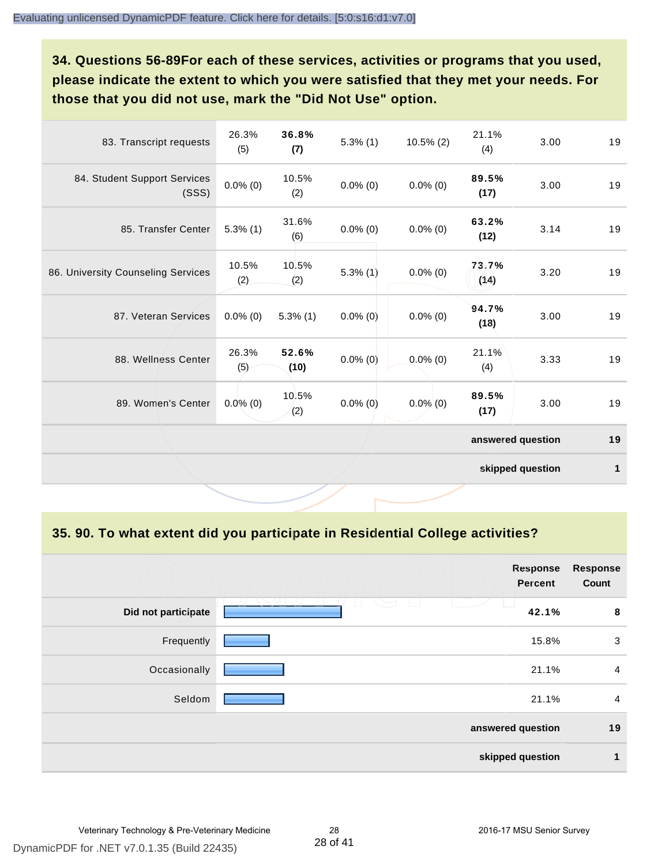**34. Questions 56-89For each of these services, activities or programs that you used, please indicate the extent to which you were satisfied that they met your needs. For those that you did not use, mark the "Did Not Use" option.**

| 83. Transcript requests               | 26.3%<br>(5) | 36.8%<br>(7)  | $5.3\%$ (1) | $10.5\%$ (2) | 21.1%<br>(4)      | 3.00             | 19           |
|---------------------------------------|--------------|---------------|-------------|--------------|-------------------|------------------|--------------|
| 84. Student Support Services<br>(SSS) | $0.0\%$ (0)  | 10.5%<br>(2)  | $0.0\%$ (0) | $0.0\%$ (0)  | 89.5%<br>(17)     | 3.00             | 19           |
| 85. Transfer Center                   | $5.3\%$ (1)  | 31.6%<br>(6)  | $0.0\%$ (0) | $0.0\%$ (0)  | 63.2%<br>(12)     | 3.14             | 19           |
| 86. University Counseling Services    | 10.5%<br>(2) | 10.5%<br>(2)  | 5.3%(1)     | $0.0\%$ (0)  | 73.7%<br>(14)     | 3.20             | 19           |
| 87. Veteran Services                  | $0.0\%$ (0)  | $5.3\%$ (1)   | $0.0\%$ (0) | $0.0\%$ (0)  | 94.7%<br>(18)     | 3.00             | 19           |
| 88. Wellness Center                   | 26.3%<br>(5) | 52.6%<br>(10) | $0.0\%$ (0) | $0.0\%$ (0)  | 21.1%<br>(4)      | 3.33             | 19           |
| 89. Women's Center                    | $0.0\%$ (0)  | 10.5%<br>(2)  | $0.0\%$ (0) | $0.0\%$ (0)  | 89.5%<br>(17)     | 3.00             | 19           |
|                                       |              |               |             |              | answered question |                  | 19           |
|                                       |              |               |             |              |                   | skipped question | $\mathbf{1}$ |

**35. 90. To what extent did you participate in Residential College activities?**

|                     | <b>Response</b><br><b>Percent</b> | <b>Response</b><br>Count |
|---------------------|-----------------------------------|--------------------------|
| Did not participate | 42.1%                             | 8                        |
| Frequently          | 15.8%                             | 3                        |
| Occasionally        | 21.1%                             | $\overline{4}$           |
| Seldom              | 21.1%                             | $\overline{4}$           |
|                     | answered question                 | 19                       |
|                     | skipped question                  | 1                        |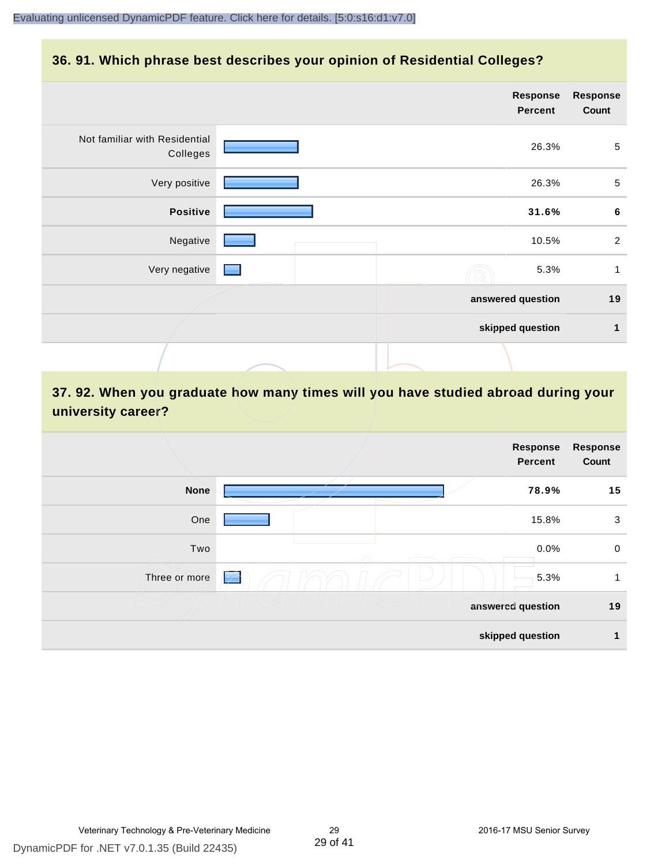### **36. 91. Which phrase best describes your opinion of Residential Colleges?**

|                                           |                          | <b>Response</b><br><b>Percent</b> | <b>Response</b><br>Count |
|-------------------------------------------|--------------------------|-----------------------------------|--------------------------|
| Not familiar with Residential<br>Colleges |                          | 26.3%                             | 5                        |
| Very positive                             |                          | 26.3%                             | $\sqrt{5}$               |
| <b>Positive</b>                           |                          | 31.6%                             | 6                        |
| Negative                                  |                          | 10.5%                             | $\overline{2}$           |
| Very negative                             | <b>Contract Contract</b> | 5.3%                              | 1                        |
|                                           |                          | answered question                 | 19                       |
|                                           |                          | skipped question                  | 1                        |
|                                           |                          |                                   |                          |

## **37. 92. When you graduate how many times will you have studied abroad during your university career?**

|               | Response<br><b>Percent</b>       | <b>Response</b><br>Count |
|---------------|----------------------------------|--------------------------|
| <b>None</b>   | 78.9%                            | 15                       |
| One           | 15.8%                            | 3                        |
| Two           | 0.0%                             | $\mathbf 0$              |
| Three or more | 5.3%<br>$\overline{\mathscr{L}}$ | 1                        |
|               | answered question                | 19                       |
|               | skipped question                 | 1                        |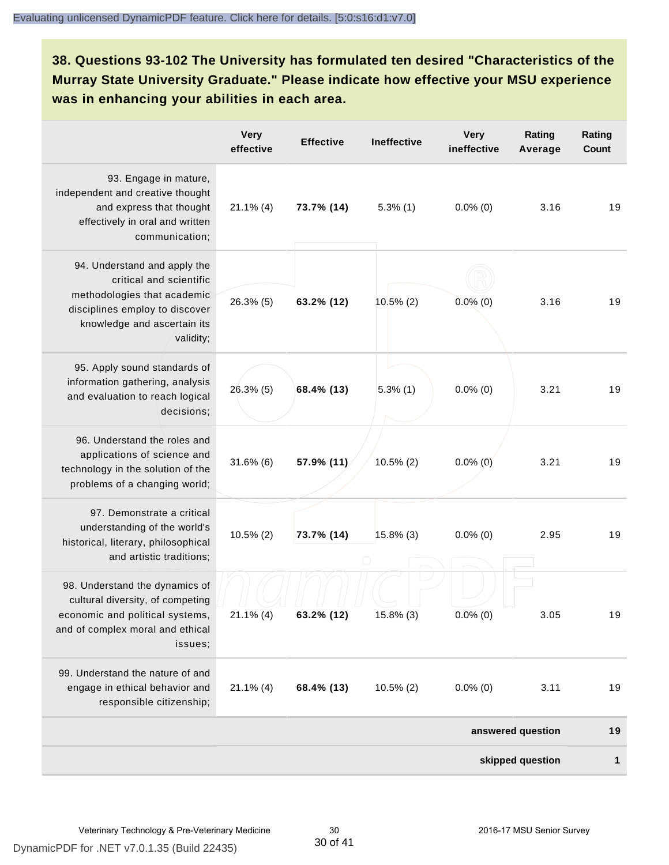**38. Questions 93-102 The University has formulated ten desired "Characteristics of the Murray State University Graduate." Please indicate how effective your MSU experience was in enhancing your abilities in each area.**

|                                                                                                                                                                      | <b>Very</b><br>effective | <b>Effective</b> | <b>Ineffective</b> | <b>Very</b><br>ineffective | Rating<br>Average | Rating<br><b>Count</b> |
|----------------------------------------------------------------------------------------------------------------------------------------------------------------------|--------------------------|------------------|--------------------|----------------------------|-------------------|------------------------|
| 93. Engage in mature,<br>independent and creative thought<br>and express that thought<br>effectively in oral and written<br>communication;                           | $21.1\%$ (4)             | 73.7% (14)       | $5.3\%$ (1)        | $0.0\%$ (0)                | 3.16              | 19                     |
| 94. Understand and apply the<br>critical and scientific<br>methodologies that academic<br>disciplines employ to discover<br>knowledge and ascertain its<br>validity; | 26.3% (5)                | 63.2% (12)       | $10.5\%$ (2)       | $0.0\%$ (0)                | 3.16              | 19                     |
| 95. Apply sound standards of<br>information gathering, analysis<br>and evaluation to reach logical<br>decisions;                                                     | $26.3\%$ (5)             | 68.4% (13)       | $5.3\%$ (1)        | $0.0\%$ (0)                | 3.21              | 19                     |
| 96. Understand the roles and<br>applications of science and<br>technology in the solution of the<br>problems of a changing world;                                    | $31.6\%$ (6)             | 57.9% (11)       | $10.5\%$ (2)       | $0.0\%$ (0)                | 3.21              | 19                     |
| 97. Demonstrate a critical<br>understanding of the world's<br>historical, literary, philosophical<br>and artistic traditions;                                        | $10.5\%$ (2)             | 73.7% (14)       | $15.8\%$ (3)       | $0.0\%$ (0)                | 2.95              | 19                     |
| 98. Understand the dynamics of<br>cultural diversity, of competing<br>economic and political systems,<br>and of complex moral and ethical<br>issues;                 | $21.1\%$ (4)             | 63.2% (12)       | 15.8% (3)          | $0.0\%$ (0)                | 3.05              | 19                     |
| 99. Understand the nature of and<br>engage in ethical behavior and<br>responsible citizenship;                                                                       | $21.1\%$ (4)             | 68.4% (13)       | $10.5\%$ (2)       | $0.0\%$ (0)                | 3.11              | 19                     |
|                                                                                                                                                                      |                          |                  |                    |                            | answered question | 19                     |
|                                                                                                                                                                      |                          |                  |                    |                            | skipped question  | 1                      |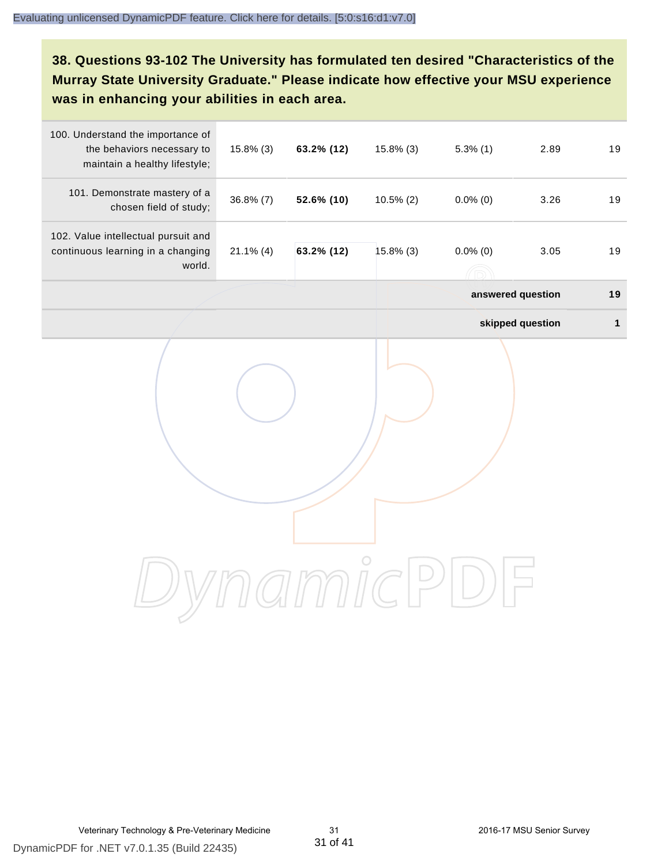**38. Questions 93-102 The University has formulated ten desired "Characteristics of the Murray State University Graduate." Please indicate how effective your MSU experience was in enhancing your abilities in each area.**

| 100. Understand the importance of<br>the behaviors necessary to<br>maintain a healthy lifestyle; | $15.8\%$ (3) | 63.2% (12) | $15.8\%$ (3) | $5.3\%$ (1)       | 2.89             | 19           |
|--------------------------------------------------------------------------------------------------|--------------|------------|--------------|-------------------|------------------|--------------|
| 101. Demonstrate mastery of a<br>chosen field of study;                                          | $36.8\%$ (7) | 52.6% (10) | $10.5\%$ (2) | $0.0\%$ (0)       | 3.26             | 19           |
| 102. Value intellectual pursuit and<br>continuous learning in a changing<br>world.               | $21.1\%$ (4) | 63.2% (12) | $15.8\%$ (3) | $0.0\%$ (0)       | 3.05             | 19           |
|                                                                                                  |              |            |              | answered question |                  | 19           |
|                                                                                                  |              |            |              |                   | skipped question | $\mathbf{1}$ |
|                                                                                                  |              |            |              |                   |                  |              |
|                                                                                                  |              |            |              |                   |                  |              |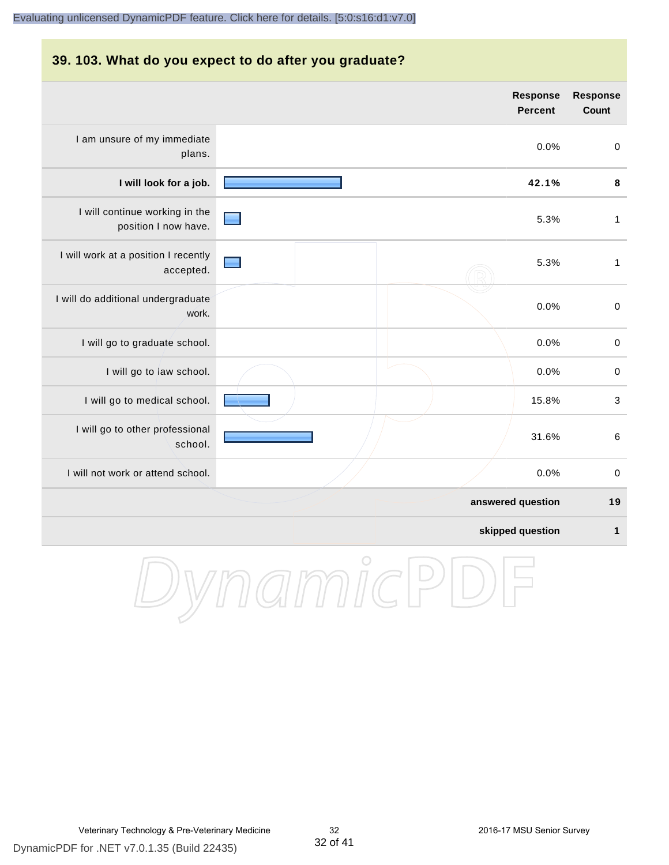#### **39. 103. What do you expect to do after you graduate?**

|                                                        | Response<br><b>Percent</b> | <b>Response</b><br><b>Count</b> |
|--------------------------------------------------------|----------------------------|---------------------------------|
| I am unsure of my immediate<br>plans.                  | 0.0%                       | $\mathbf 0$                     |
| I will look for a job.                                 | 42.1%                      | $\pmb{8}$                       |
| I will continue working in the<br>position I now have. | 5.3%                       | $\mathbf{1}$                    |
| I will work at a position I recently<br>accepted.      | 5.3%                       | $\mathbf{1}$                    |
| I will do additional undergraduate<br>work.            | 0.0%                       | $\pmb{0}$                       |
| I will go to graduate school.                          | 0.0%                       | $\pmb{0}$                       |
| I will go to law school.                               | 0.0%                       | $\mathbf 0$                     |
| I will go to medical school.                           | 15.8%                      | $\mathbf{3}$                    |
| I will go to other professional<br>school.             | 31.6%                      | $6\phantom{1}6$                 |
| I will not work or attend school.                      | 0.0%                       | $\mathbf 0$                     |
|                                                        | answered question          | 19                              |
|                                                        | skipped question           | 1                               |

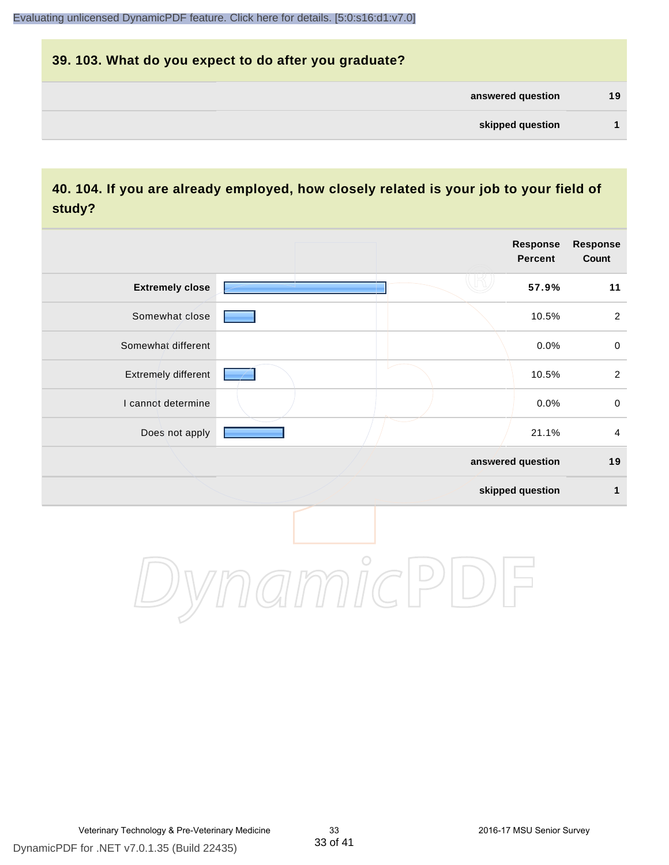# **39. 103. What do you expect to do after you graduate? answered question 19 skipped question 1**

## **40. 104. If you are already employed, how closely related is your job to your field of study?**

|                        |         | <b>Response</b><br>Percent | <b>Response</b><br>Count |
|------------------------|---------|----------------------------|--------------------------|
| <b>Extremely close</b> |         | 57.9%                      | 11                       |
| Somewhat close         |         | 10.5%                      | $\overline{2}$           |
| Somewhat different     |         | 0.0%                       | $\mathsf{O}\xspace$      |
| Extremely different    |         | 10.5%                      | $\overline{2}$           |
| I cannot determine     |         | 0.0%                       | $\pmb{0}$                |
| Does not apply         |         | 21.1%                      | $\overline{\mathbf{4}}$  |
|                        |         | answered question          | 19                       |
|                        |         | skipped question           | 1                        |
|                        | $\circ$ |                            |                          |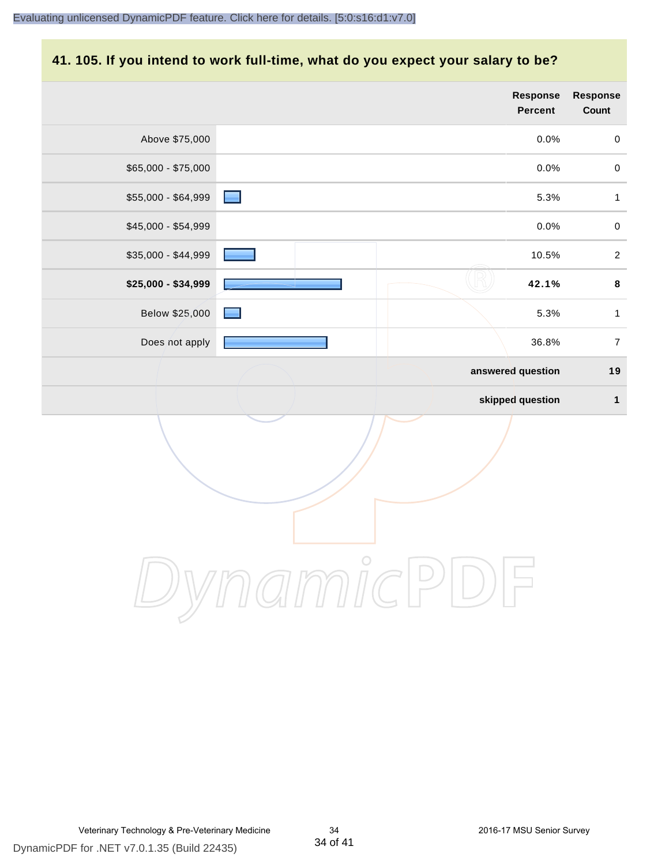#### **41. 105. If you intend to work full-time, what do you expect your salary to be?**

|                     | <b>Response</b><br><b>Percent</b> | Response<br>Count |
|---------------------|-----------------------------------|-------------------|
| Above \$75,000      | 0.0%                              | $\pmb{0}$         |
| \$65,000 - \$75,000 | 0.0%                              | $\mathbf 0$       |
| \$55,000 - \$64,999 | 5.3%                              | $\mathbf 1$       |
| \$45,000 - \$54,999 | 0.0%                              | $\pmb{0}$         |
| \$35,000 - \$44,999 | 10.5%                             | $\overline{2}$    |
| \$25,000 - \$34,999 | 42.1%                             | $\bf 8$           |
| Below \$25,000      | 5.3%                              | $\mathbf 1$       |
| Does not apply      | 36.8%                             | $\boldsymbol{7}$  |
|                     | answered question                 | 19                |
|                     | skipped question                  | $\mathbf 1$       |
|                     |                                   |                   |
|                     | $\bigcirc$                        |                   |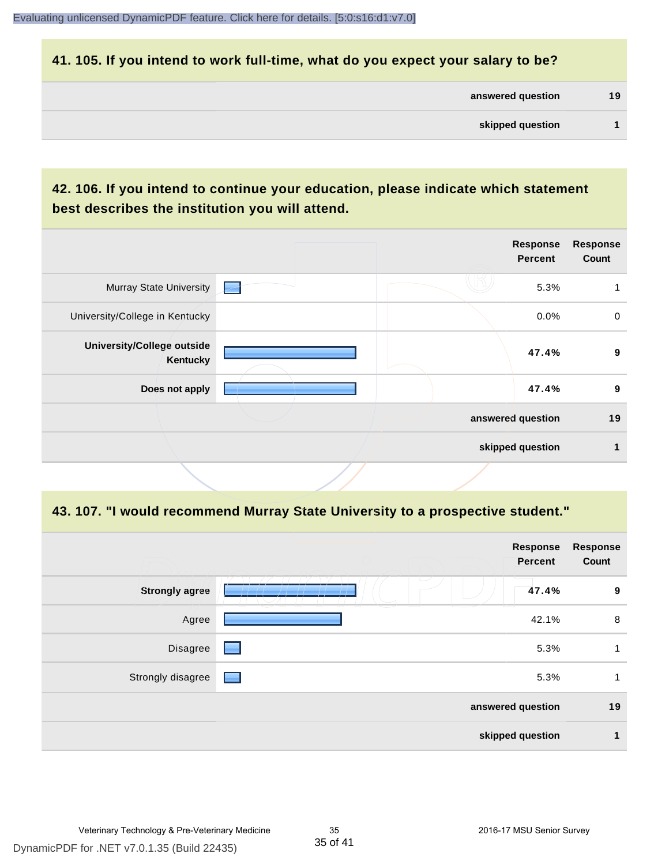#### **41. 105. If you intend to work full-time, what do you expect your salary to be?**

| answered question | 19 |
|-------------------|----|
| skipped question  |    |

## **42. 106. If you intend to continue your education, please indicate which statement best describes the institution you will attend.**

|                                        |                          | <b>Response</b><br><b>Percent</b> | <b>Response</b><br>Count |
|----------------------------------------|--------------------------|-----------------------------------|--------------------------|
| <b>Murray State University</b>         | $\overline{\phantom{a}}$ | 5.3%                              |                          |
| University/College in Kentucky         |                          | 0.0%                              | $\mathbf 0$              |
| University/College outside<br>Kentucky |                          | 47.4%                             | 9                        |
| Does not apply                         |                          | 47.4%                             | 9                        |
|                                        |                          | answered question                 | 19                       |
|                                        |                          | skipped question                  | 4                        |
|                                        |                          |                                   |                          |

#### **43. 107. "I would recommend Murray State University to a prospective student."**

|                       | <b>Response</b><br><b>Percent</b> | <b>Response</b><br>Count |
|-----------------------|-----------------------------------|--------------------------|
| <b>Strongly agree</b> | $\overline{\phantom{a}}$<br>47.4% | 9                        |
| Agree                 | 42.1%                             | 8                        |
| Disagree              | 5.3%<br>$\Box$                    | 1                        |
| Strongly disagree     | 5.3%<br>$\Box$                    | 1                        |
|                       | answered question                 | 19                       |
|                       | skipped question                  | $\mathbf 1$              |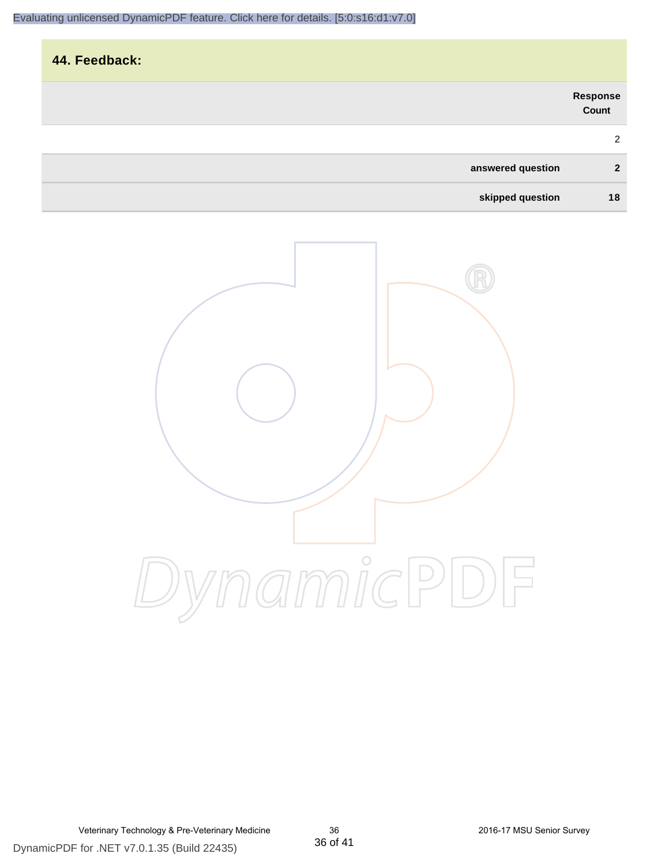| 44. Feedback:     |                   |
|-------------------|-------------------|
|                   | Response<br>Count |
|                   | $\overline{2}$    |
| answered question | $\overline{2}$    |
| skipped question  | 18                |

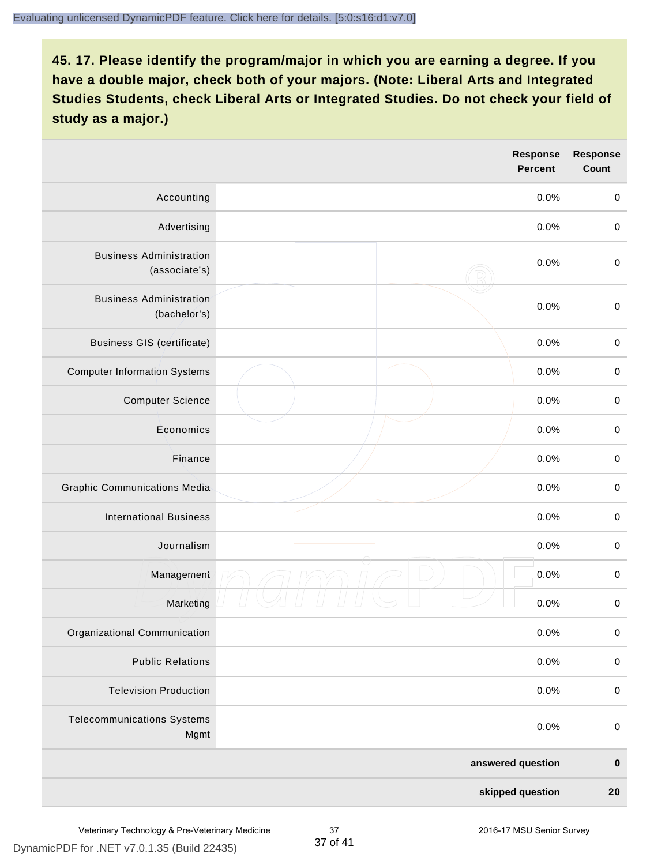|                                                 | <b>Response</b><br><b>Percent</b> | <b>Response</b><br>Count |
|-------------------------------------------------|-----------------------------------|--------------------------|
| Accounting                                      | 0.0%                              | $\pmb{0}$                |
| Advertising                                     | 0.0%                              | $\mathbf 0$              |
| <b>Business Administration</b><br>(associate's) | 0.0%                              | $\mathbf 0$              |
| <b>Business Administration</b><br>(bachelor's)  | 0.0%                              | $\pmb{0}$                |
| <b>Business GIS (certificate)</b>               | 0.0%                              | $\mathbf 0$              |
| <b>Computer Information Systems</b>             | 0.0%                              | $\pmb{0}$                |
| <b>Computer Science</b>                         | 0.0%                              | $\pmb{0}$                |
| Economics                                       | 0.0%                              | $\mathbf 0$              |
| Finance                                         | 0.0%                              | $\pmb{0}$                |
| <b>Graphic Communications Media</b>             | 0.0%                              | $\mathbf 0$              |
| <b>International Business</b>                   | 0.0%                              | $\pmb{0}$                |
| Journalism                                      | 0.0%                              | $\pmb{0}$                |
| Management                                      | 0.0%                              | $\,0\,$                  |
| Marketing                                       | 0.0%                              | $\mathbf 0$              |
| Organizational Communication                    | 0.0%                              | $\pmb{0}$                |
| <b>Public Relations</b>                         | 0.0%                              | $\pmb{0}$                |
| <b>Television Production</b>                    | 0.0%                              | $\mathbf 0$              |
| <b>Telecommunications Systems</b><br>Mgmt       | 0.0%                              | $\pmb{0}$                |
|                                                 | answered question                 | $\pmb{0}$                |
|                                                 | skipped question                  | $20\,$                   |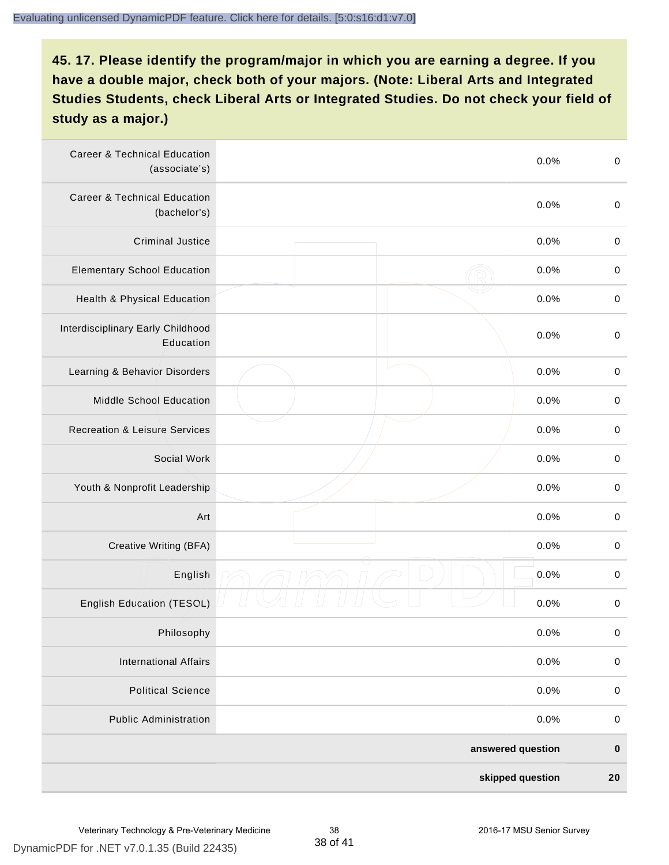| <b>Career &amp; Technical Education</b><br>(associate's) | 0.0%              | $\boldsymbol{0}$ |
|----------------------------------------------------------|-------------------|------------------|
| <b>Career &amp; Technical Education</b><br>(bachelor's)  | 0.0%              | $\boldsymbol{0}$ |
| <b>Criminal Justice</b>                                  | 0.0%              | $\boldsymbol{0}$ |
| <b>Elementary School Education</b>                       | 0.0%              | $\pmb{0}$        |
| <b>Health &amp; Physical Education</b>                   | 0.0%              | $\pmb{0}$        |
| Interdisciplinary Early Childhood<br>Education           | 0.0%              | $\boldsymbol{0}$ |
| Learning & Behavior Disorders                            | 0.0%              | $\pmb{0}$        |
| Middle School Education                                  | 0.0%              | $\pmb{0}$        |
| <b>Recreation &amp; Leisure Services</b>                 | 0.0%              | $\pmb{0}$        |
| Social Work                                              | 0.0%              | $\pmb{0}$        |
| Youth & Nonprofit Leadership                             | 0.0%              | $\boldsymbol{0}$ |
| Art                                                      | 0.0%              | $\boldsymbol{0}$ |
| Creative Writing (BFA)                                   | 0.0%              | $\boldsymbol{0}$ |
| English                                                  | 0.0%              | $\pmb{0}$        |
| <b>English Education (TESOL)</b>                         | 0.0%              | $\pmb{0}$        |
| Philosophy                                               | 0.0%              | $\pmb{0}$        |
| <b>International Affairs</b>                             | 0.0%              | $\pmb{0}$        |
| <b>Political Science</b>                                 | 0.0%              | $\pmb{0}$        |
| <b>Public Administration</b>                             | 0.0%              | $\pmb{0}$        |
|                                                          | answered question | $\pmb{0}$        |
|                                                          | skipped question  | 20               |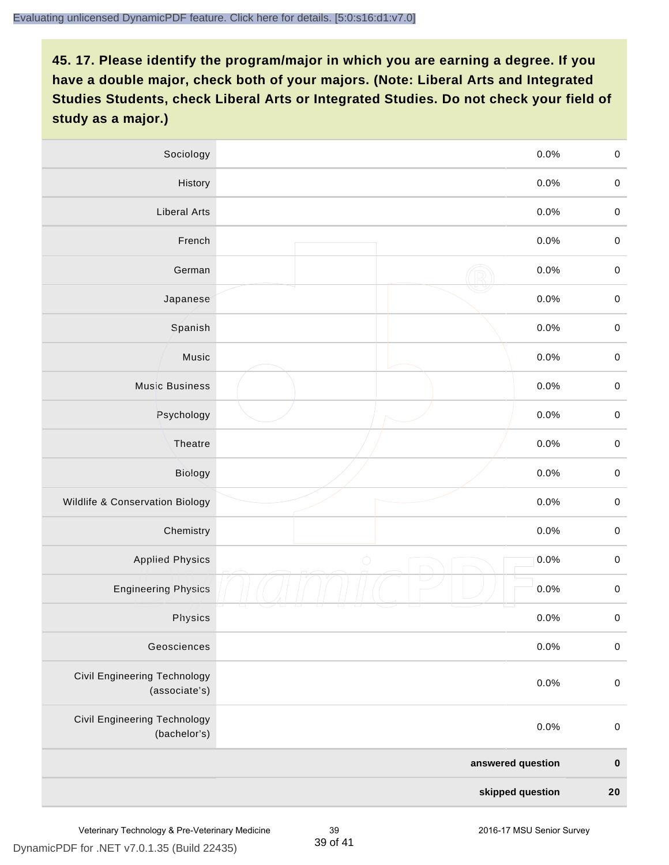| Sociology                                     | 0.0%               | $\mathbf 0$ |
|-----------------------------------------------|--------------------|-------------|
| History                                       | 0.0%               | $\mathbf 0$ |
| <b>Liberal Arts</b>                           | 0.0%               | $\mathbf 0$ |
| French                                        | 0.0%               | $\mathbf 0$ |
| German                                        | 0.0%               | $\mathbf 0$ |
| Japanese                                      | 0.0%               | $\pmb{0}$   |
| Spanish                                       | 0.0%               | $\mathbf 0$ |
| Music                                         | 0.0%               | $\mathbf 0$ |
| <b>Music Business</b>                         | 0.0%               | $\pmb{0}$   |
| Psychology                                    | 0.0%               | $\mathbf 0$ |
| Theatre                                       | 0.0%               | $\mathbf 0$ |
| <b>Biology</b>                                | 0.0%               | $\mathbf 0$ |
| Wildlife & Conservation Biology               | 0.0%               | $\pmb{0}$   |
| Chemistry                                     | 0.0%               | $\mathbf 0$ |
| <b>Applied Physics</b>                        | $\bigcirc$<br>0.0% | $\mathbf 0$ |
| <b>Engineering Physics</b>                    | 0.0%               | $\mathbf 0$ |
| Physics                                       | 0.0%               | $\mathbf 0$ |
| Geosciences                                   | 0.0%               | $\pmb{0}$   |
| Civil Engineering Technology<br>(associate's) | 0.0%               | $\pmb{0}$   |
| Civil Engineering Technology<br>(bachelor's)  | 0.0%               | $\pmb{0}$   |
|                                               | answered question  | $\mathbf 0$ |
|                                               | skipped question   | ${\bf 20}$  |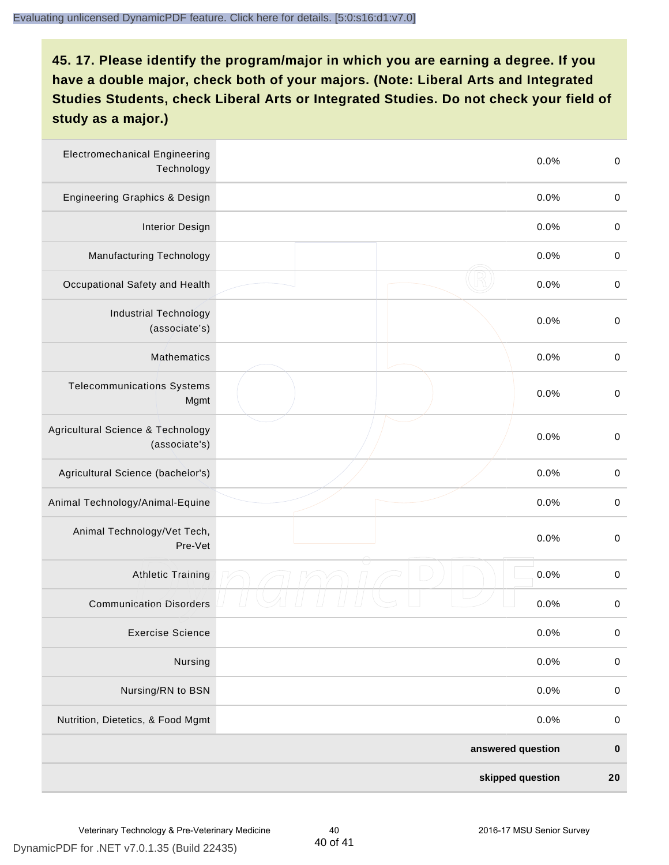| <b>Electromechanical Engineering</b><br>Technology | 0.0%              | $\boldsymbol{0}$ |
|----------------------------------------------------|-------------------|------------------|
| Engineering Graphics & Design                      | 0.0%              | $\pmb{0}$        |
| <b>Interior Design</b>                             | 0.0%              | $\boldsymbol{0}$ |
| Manufacturing Technology                           | 0.0%              | $\,0\,$          |
| Occupational Safety and Health                     | 0.0%              | $\boldsymbol{0}$ |
| <b>Industrial Technology</b><br>(associate's)      | 0.0%              | $\,0\,$          |
| Mathematics                                        | 0.0%              | $\pmb{0}$        |
| <b>Telecommunications Systems</b><br>Mgmt          | 0.0%              | $\boldsymbol{0}$ |
| Agricultural Science & Technology<br>(associate's) | 0.0%              | $\boldsymbol{0}$ |
| Agricultural Science (bachelor's)                  | 0.0%              | $\pmb{0}$        |
| Animal Technology/Animal-Equine                    | 0.0%              | $\boldsymbol{0}$ |
| Animal Technology/Vet Tech,<br>Pre-Vet             | 0.0%              | $\boldsymbol{0}$ |
| <b>Athletic Training</b>                           | 0.0%              | $\boldsymbol{0}$ |
| <b>Communication Disorders</b>                     | 0.0%              | $\boldsymbol{0}$ |
| <b>Exercise Science</b>                            | 0.0%              | $\pmb{0}$        |
| Nursing                                            | 0.0%              | $\pmb{0}$        |
| Nursing/RN to BSN                                  | 0.0%              | $\pmb{0}$        |
| Nutrition, Dietetics, & Food Mgmt                  | 0.0%              | $\pmb{0}$        |
|                                                    | answered question | $\bf{0}$         |
|                                                    | skipped question  | 20               |